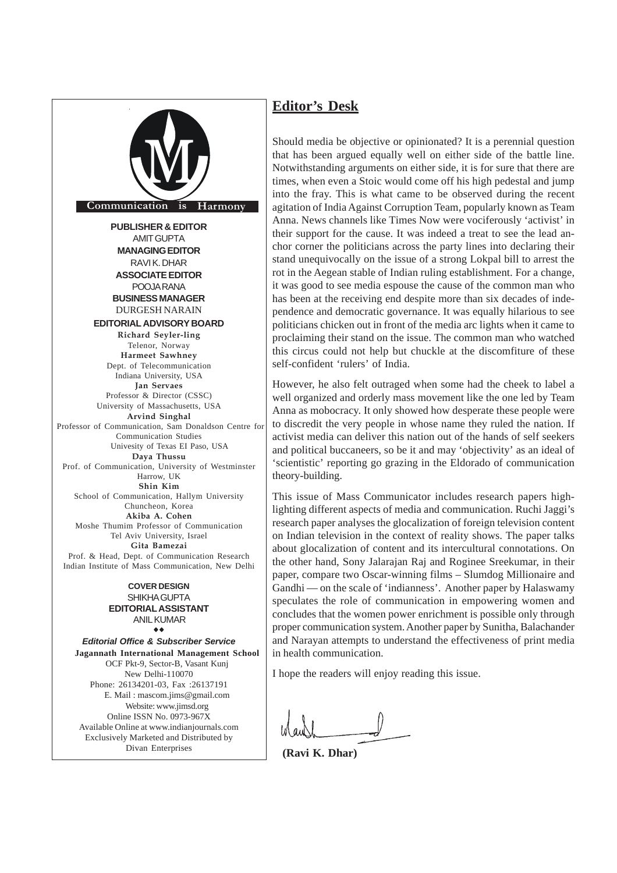

*Editorial Office & Subscriber Service* **Jagannath International Management School** OCF Pkt-9, Sector-B, Vasant Kunj New Delhi-110070 Phone: 26134201-03, Fax :26137191 E. Mail : mascom.jims@gmail.com Website: www.jimsd.org Online ISSN No. 0973-967X Available Online at www.indianjournals.com Exclusively Marketed and Distributed by Divan Enterprises

 $\bullet$ 

## **Editor's Desk**

Should media be objective or opinionated? It is a perennial question that has been argued equally well on either side of the battle line. Notwithstanding arguments on either side, it is for sure that there are times, when even a Stoic would come off his high pedestal and jump into the fray. This is what came to be observed during the recent agitation of India Against Corruption Team, popularly known as Team Anna. News channels like Times Now were vociferously 'activist' in their support for the cause. It was indeed a treat to see the lead anchor corner the politicians across the party lines into declaring their stand unequivocally on the issue of a strong Lokpal bill to arrest the rot in the Aegean stable of Indian ruling establishment. For a change, it was good to see media espouse the cause of the common man who has been at the receiving end despite more than six decades of independence and democratic governance. It was equally hilarious to see politicians chicken out in front of the media arc lights when it came to proclaiming their stand on the issue. The common man who watched this circus could not help but chuckle at the discomfiture of these self-confident 'rulers' of India.

However, he also felt outraged when some had the cheek to label a well organized and orderly mass movement like the one led by Team Anna as mobocracy. It only showed how desperate these people were to discredit the very people in whose name they ruled the nation. If activist media can deliver this nation out of the hands of self seekers and political buccaneers, so be it and may 'objectivity' as an ideal of 'scientistic' reporting go grazing in the Eldorado of communication theory-building.

This issue of Mass Communicator includes research papers highlighting different aspects of media and communication. Ruchi Jaggi's research paper analyses the glocalization of foreign television content on Indian television in the context of reality shows. The paper talks about glocalization of content and its intercultural connotations. On the other hand, Sony Jalarajan Raj and Roginee Sreekumar, in their paper, compare two Oscar-winning films – Slumdog Millionaire and Gandhi — on the scale of 'indianness'. Another paper by Halaswamy speculates the role of communication in empowering women and concludes that the women power enrichment is possible only through proper communication system. Another paper by Sunitha, Balachander and Narayan attempts to understand the effectiveness of print media in health communication.

I hope the readers will enjoy reading this issue.

**(Ravi K. Dhar)**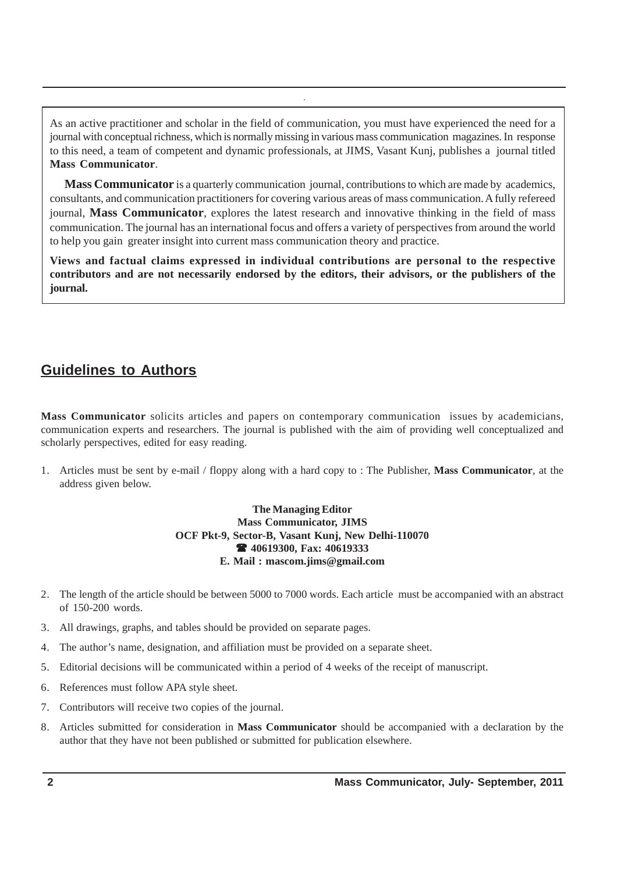As an active practitioner and scholar in the field of communication, you must have experienced the need for a journal with conceptual richness, which is normally missing in various mass communication magazines. In response to this need, a team of competent and dynamic professionals, at JIMS, Vasant Kunj, publishes a journal titled **Mass Communicator**.

**Mass Communicator** is a quarterly communication journal, contributions to which are made by academics, consultants, and communication practitioners for covering various areas of mass communication. A fully refereed journal, **Mass Communicator**, explores the latest research and innovative thinking in the field of mass communication. The journal has an international focus and offers a variety of perspectives from around the world to help you gain greater insight into current mass communication theory and practice.

**Views and factual claims expressed in individual contributions are personal to the respective contributors and are not necessarily endorsed by the editors, their advisors, or the publishers of the journal.**

# **Guidelines to Authors**

**Mass Communicator** solicits articles and papers on contemporary communication issues by academicians, communication experts and researchers. The journal is published with the aim of providing well conceptualized and scholarly perspectives, edited for easy reading.

1. Articles must be sent by e-mail / floppy along with a hard copy to : The Publisher, **Mass Communicator**, at the address given below.

## **The Managing Editor Mass Communicator, JIMS OCF Pkt-9, Sector-B, Vasant Kunj, New Delhi-110070 40619300, Fax: 40619333 E. Mail : mascom.jims@gmail.com**

- 2. The length of the article should be between 5000 to 7000 words. Each article must be accompanied with an abstract of 150-200 words.
- 3. All drawings, graphs, and tables should be provided on separate pages.
- 4. The author's name, designation, and affiliation must be provided on a separate sheet.
- 5. Editorial decisions will be communicated within a period of 4 weeks of the receipt of manuscript.
- 6. References must follow APA style sheet.
- 7. Contributors will receive two copies of the journal.
- 8. Articles submitted for consideration in **Mass Communicator** should be accompanied with a declaration by the author that they have not been published or submitted for publication elsewhere.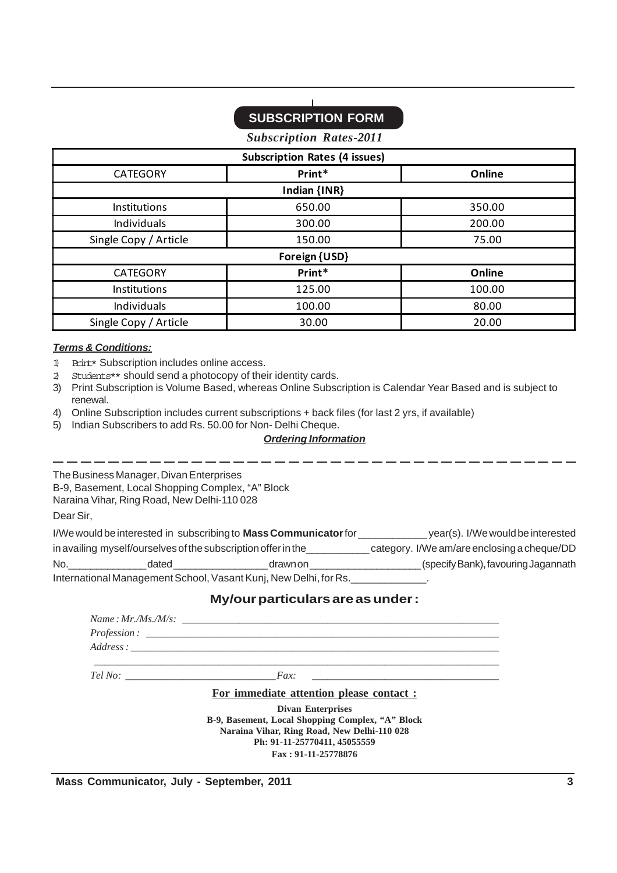# **SUBSCRIPTION FORM**

*Subscription Rates-2011*

| <b>Subscription Rates (4 issues)</b> |               |        |  |  |  |  |  |
|--------------------------------------|---------------|--------|--|--|--|--|--|
| <b>CATEGORY</b>                      | Print*        | Online |  |  |  |  |  |
| Indian {INR}                         |               |        |  |  |  |  |  |
| <b>Institutions</b>                  | 650.00        | 350.00 |  |  |  |  |  |
| Individuals                          | 300.00        | 200.00 |  |  |  |  |  |
| Single Copy / Article                | 150.00        | 75.00  |  |  |  |  |  |
|                                      | Foreign {USD} |        |  |  |  |  |  |
| <b>CATEGORY</b>                      | Print*        | Online |  |  |  |  |  |
| Institutions                         | 125.00        | 100.00 |  |  |  |  |  |
| Individuals                          | 100.00        | 80.00  |  |  |  |  |  |
| Single Copy / Article                | 30.00         | 20.00  |  |  |  |  |  |

## *Terms & Conditions:*

- 1) Print\* Subscription includes online access.
- 2) Students\*\* should send a photocopy of their identity cards.
- 3) Print Subscription is Volume Based, whereas Online Subscription is Calendar Year Based and is subject to renewal.
- 4) Online Subscription includes current subscriptions + back files (for last 2 yrs, if available)
- 5) Indian Subscribers to add Rs. 50.00 for Non- Delhi Cheque.

### *Ordering Information*

The Business Manager, Divan Enterprises B-9, Basement, Local Shopping Complex, "A" Block Naraina Vihar, Ring Road, New Delhi-110 028

Dear Sir,

|     | I/We would be interested in subscribing to Mass Communicator for | year(s). I/We would be interested                                |                                     |
|-----|------------------------------------------------------------------|------------------------------------------------------------------|-------------------------------------|
|     | in availing myself/ourselves of the subscription offer in the    | category. I/We am/are enclosing a cheque/DD                      |                                     |
| No. | dated                                                            | drawn on                                                         | (specify Bank), favouring Jagannath |
|     |                                                                  | International Management School, Vasant Kunj, New Delhi, for Rs. |                                     |

## **My/our particulars are as under :**

| <u>For immediate attention please contact:</u>   |
|--------------------------------------------------|
| <b>Divan Enterprises</b>                         |
| B-9, Basement, Local Shopping Complex, "A" Block |
| Naraina Vihar, Ring Road, New Delhi-110 028      |
| Ph: 91-11-25770411, 45055559                     |
| Fax: 91-11-25778876                              |

**Mass Communicator, July - September, 2011** 3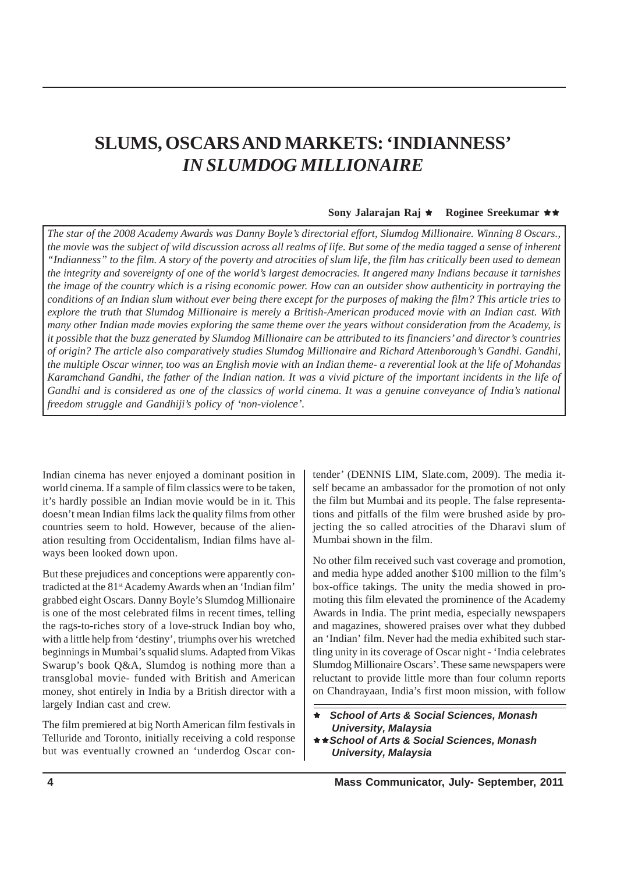# **SLUMS, OSCARS AND MARKETS: 'INDIANNESS'** *IN SLUMDOG MILLIONAIRE*

### **Sony Jalarajan Raj**  $\star$  **Roginee Sreekumar**  $\star \star$

*The star of the 2008 Academy Awards was Danny Boyle's directorial effort, Slumdog Millionaire. Winning 8 Oscars., the movie was the subject of wild discussion across all realms of life. But some of the media tagged a sense of inherent "Indianness" to the film. A story of the poverty and atrocities of slum life, the film has critically been used to demean the integrity and sovereignty of one of the world's largest democracies. It angered many Indians because it tarnishes the image of the country which is a rising economic power. How can an outsider show authenticity in portraying the conditions of an Indian slum without ever being there except for the purposes of making the film? This article tries to explore the truth that Slumdog Millionaire is merely a British-American produced movie with an Indian cast. With many other Indian made movies exploring the same theme over the years without consideration from the Academy, is it possible that the buzz generated by Slumdog Millionaire can be attributed to its financiers' and director's countries of origin? The article also comparatively studies Slumdog Millionaire and Richard Attenborough's Gandhi. Gandhi, the multiple Oscar winner, too was an English movie with an Indian theme- a reverential look at the life of Mohandas Karamchand Gandhi, the father of the Indian nation. It was a vivid picture of the important incidents in the life of Gandhi and is considered as one of the classics of world cinema. It was a genuine conveyance of India's national freedom struggle and Gandhiji's policy of 'non-violence'.*

Indian cinema has never enjoyed a dominant position in world cinema. If a sample of film classics were to be taken, it's hardly possible an Indian movie would be in it. This doesn't mean Indian films lack the quality films from other countries seem to hold. However, because of the alienation resulting from Occidentalism, Indian films have always been looked down upon.

But these prejudices and conceptions were apparently contradicted at the 81st Academy Awards when an 'Indian film' grabbed eight Oscars. Danny Boyle's Slumdog Millionaire is one of the most celebrated films in recent times, telling the rags-to-riches story of a love-struck Indian boy who, with a little help from 'destiny', triumphs over his wretched beginnings in Mumbai's squalid slums. Adapted from Vikas Swarup's book Q&A, Slumdog is nothing more than a transglobal movie- funded with British and American money, shot entirely in India by a British director with a largely Indian cast and crew.

The film premiered at big North American film festivals in Telluride and Toronto, initially receiving a cold response but was eventually crowned an 'underdog Oscar contender' (DENNIS LIM, Slate.com, 2009). The media itself became an ambassador for the promotion of not only the film but Mumbai and its people. The false representations and pitfalls of the film were brushed aside by projecting the so called atrocities of the Dharavi slum of Mumbai shown in the film.

No other film received such vast coverage and promotion, and media hype added another \$100 million to the film's box-office takings. The unity the media showed in promoting this film elevated the prominence of the Academy Awards in India. The print media, especially newspapers and magazines, showered praises over what they dubbed an 'Indian' film. Never had the media exhibited such startling unity in its coverage of Oscar night - 'India celebrates Slumdog Millionaire Oscars'. These same newspapers were reluctant to provide little more than four column reports on Chandrayaan, India's first moon mission, with follow

Ì *School of Arts & Social Sciences, Monash University, Malaysia*

 $\star$  **★ School of Arts & Social Sciences, Monash**  *University, Malaysia*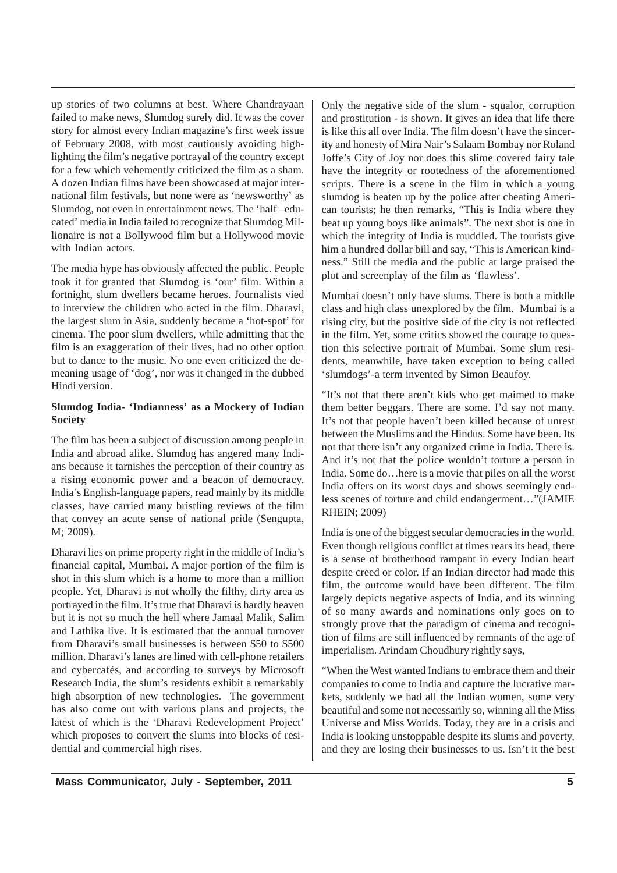up stories of two columns at best. Where Chandrayaan failed to make news, Slumdog surely did. It was the cover story for almost every Indian magazine's first week issue of February 2008, with most cautiously avoiding highlighting the film's negative portrayal of the country except for a few which vehemently criticized the film as a sham. A dozen Indian films have been showcased at major international film festivals, but none were as 'newsworthy' as Slumdog, not even in entertainment news. The 'half –educated' media in India failed to recognize that Slumdog Millionaire is not a Bollywood film but a Hollywood movie with Indian actors.

The media hype has obviously affected the public. People took it for granted that Slumdog is 'our' film. Within a fortnight, slum dwellers became heroes. Journalists vied to interview the children who acted in the film. Dharavi, the largest slum in Asia, suddenly became a 'hot-spot' for cinema. The poor slum dwellers, while admitting that the film is an exaggeration of their lives, had no other option but to dance to the music. No one even criticized the demeaning usage of 'dog', nor was it changed in the dubbed Hindi version.

## **Slumdog India- 'Indianness' as a Mockery of Indian Society**

The film has been a subject of discussion among people in India and abroad alike. Slumdog has angered many Indians because it tarnishes the perception of their country as a rising economic power and a beacon of democracy. India's English-language papers, read mainly by its middle classes, have carried many bristling reviews of the film that convey an acute sense of national pride (Sengupta, M; 2009).

Dharavi lies on prime property right in the middle of India's financial capital, Mumbai. A major portion of the film is shot in this slum which is a home to more than a million people. Yet, Dharavi is not wholly the filthy, dirty area as portrayed in the film. It's true that Dharavi is hardly heaven but it is not so much the hell where Jamaal Malik, Salim and Lathika live. It is estimated that the annual turnover from Dharavi's small businesses is between \$50 to \$500 million. Dharavi's lanes are lined with cell-phone retailers and cybercafés, and according to surveys by Microsoft Research India, the slum's residents exhibit a remarkably high absorption of new technologies. The government has also come out with various plans and projects, the latest of which is the 'Dharavi Redevelopment Project' which proposes to convert the slums into blocks of residential and commercial high rises.

Only the negative side of the slum - squalor, corruption and prostitution - is shown. It gives an idea that life there is like this all over India. The film doesn't have the sincerity and honesty of Mira Nair's Salaam Bombay nor Roland Joffe's City of Joy nor does this slime covered fairy tale have the integrity or rootedness of the aforementioned scripts. There is a scene in the film in which a young slumdog is beaten up by the police after cheating American tourists; he then remarks, "This is India where they beat up young boys like animals". The next shot is one in which the integrity of India is muddled. The tourists give him a hundred dollar bill and say, "This is American kindness." Still the media and the public at large praised the plot and screenplay of the film as 'flawless'.

Mumbai doesn't only have slums. There is both a middle class and high class unexplored by the film. Mumbai is a rising city, but the positive side of the city is not reflected in the film. Yet, some critics showed the courage to question this selective portrait of Mumbai. Some slum residents, meanwhile, have taken exception to being called 'slumdogs'-a term invented by Simon Beaufoy.

"It's not that there aren't kids who get maimed to make them better beggars. There are some. I'd say not many. It's not that people haven't been killed because of unrest between the Muslims and the Hindus. Some have been. Its not that there isn't any organized crime in India. There is. And it's not that the police wouldn't torture a person in India. Some do…here is a movie that piles on all the worst India offers on its worst days and shows seemingly endless scenes of torture and child endangerment…"(JAMIE RHEIN; 2009)

India is one of the biggest secular democracies in the world. Even though religious conflict at times rears its head, there is a sense of brotherhood rampant in every Indian heart despite creed or color. If an Indian director had made this film, the outcome would have been different. The film largely depicts negative aspects of India, and its winning of so many awards and nominations only goes on to strongly prove that the paradigm of cinema and recognition of films are still influenced by remnants of the age of imperialism. Arindam Choudhury rightly says,

"When the West wanted Indians to embrace them and their companies to come to India and capture the lucrative markets, suddenly we had all the Indian women, some very beautiful and some not necessarily so, winning all the Miss Universe and Miss Worlds. Today, they are in a crisis and India is looking unstoppable despite its slums and poverty, and they are losing their businesses to us. Isn't it the best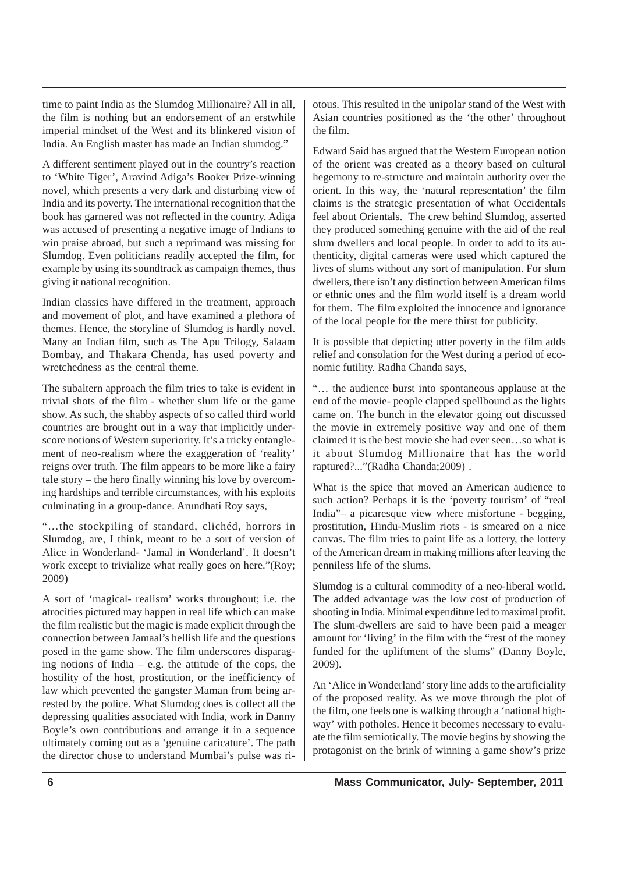time to paint India as the Slumdog Millionaire? All in all, the film is nothing but an endorsement of an erstwhile imperial mindset of the West and its blinkered vision of India. An English master has made an Indian slumdog."

A different sentiment played out in the country's reaction to 'White Tiger', Aravind Adiga's Booker Prize-winning novel, which presents a very dark and disturbing view of India and its poverty. The international recognition that the book has garnered was not reflected in the country. Adiga was accused of presenting a negative image of Indians to win praise abroad, but such a reprimand was missing for Slumdog. Even politicians readily accepted the film, for example by using its soundtrack as campaign themes, thus giving it national recognition.

Indian classics have differed in the treatment, approach and movement of plot, and have examined a plethora of themes. Hence, the storyline of Slumdog is hardly novel. Many an Indian film, such as The Apu Trilogy, Salaam Bombay, and Thakara Chenda, has used poverty and wretchedness as the central theme.

The subaltern approach the film tries to take is evident in trivial shots of the film - whether slum life or the game show. As such, the shabby aspects of so called third world countries are brought out in a way that implicitly underscore notions of Western superiority. It's a tricky entanglement of neo-realism where the exaggeration of 'reality' reigns over truth. The film appears to be more like a fairy tale story – the hero finally winning his love by overcoming hardships and terrible circumstances, with his exploits culminating in a group-dance. Arundhati Roy says,

"…the stockpiling of standard, clichéd, horrors in Slumdog, are, I think, meant to be a sort of version of Alice in Wonderland- 'Jamal in Wonderland'. It doesn't work except to trivialize what really goes on here."(Roy; 2009)

A sort of 'magical- realism' works throughout; i.e. the atrocities pictured may happen in real life which can make the film realistic but the magic is made explicit through the connection between Jamaal's hellish life and the questions posed in the game show. The film underscores disparaging notions of India  $-$  e.g. the attitude of the cops, the hostility of the host, prostitution, or the inefficiency of law which prevented the gangster Maman from being arrested by the police. What Slumdog does is collect all the depressing qualities associated with India, work in Danny Boyle's own contributions and arrange it in a sequence ultimately coming out as a 'genuine caricature'. The path the director chose to understand Mumbai's pulse was riotous. This resulted in the unipolar stand of the West with Asian countries positioned as the 'the other' throughout the film.

Edward Said has argued that the Western European notion of the orient was created as a theory based on cultural hegemony to re-structure and maintain authority over the orient. In this way, the 'natural representation' the film claims is the strategic presentation of what Occidentals feel about Orientals. The crew behind Slumdog, asserted they produced something genuine with the aid of the real slum dwellers and local people. In order to add to its authenticity, digital cameras were used which captured the lives of slums without any sort of manipulation. For slum dwellers, there isn't any distinction between American films or ethnic ones and the film world itself is a dream world for them. The film exploited the innocence and ignorance of the local people for the mere thirst for publicity.

It is possible that depicting utter poverty in the film adds relief and consolation for the West during a period of economic futility. Radha Chanda says,

"… the audience burst into spontaneous applause at the end of the movie- people clapped spellbound as the lights came on. The bunch in the elevator going out discussed the movie in extremely positive way and one of them claimed it is the best movie she had ever seen…so what is it about Slumdog Millionaire that has the world raptured?..."(Radha Chanda;2009) .

What is the spice that moved an American audience to such action? Perhaps it is the 'poverty tourism' of "real India"– a picaresque view where misfortune - begging, prostitution, Hindu-Muslim riots - is smeared on a nice canvas. The film tries to paint life as a lottery, the lottery of the American dream in making millions after leaving the penniless life of the slums.

Slumdog is a cultural commodity of a neo-liberal world. The added advantage was the low cost of production of shooting in India. Minimal expenditure led to maximal profit. The slum-dwellers are said to have been paid a meager amount for 'living' in the film with the "rest of the money funded for the upliftment of the slums" (Danny Boyle, 2009).

An 'Alice in Wonderland' story line adds to the artificiality of the proposed reality. As we move through the plot of the film, one feels one is walking through a 'national highway' with potholes. Hence it becomes necessary to evaluate the film semiotically. The movie begins by showing the protagonist on the brink of winning a game show's prize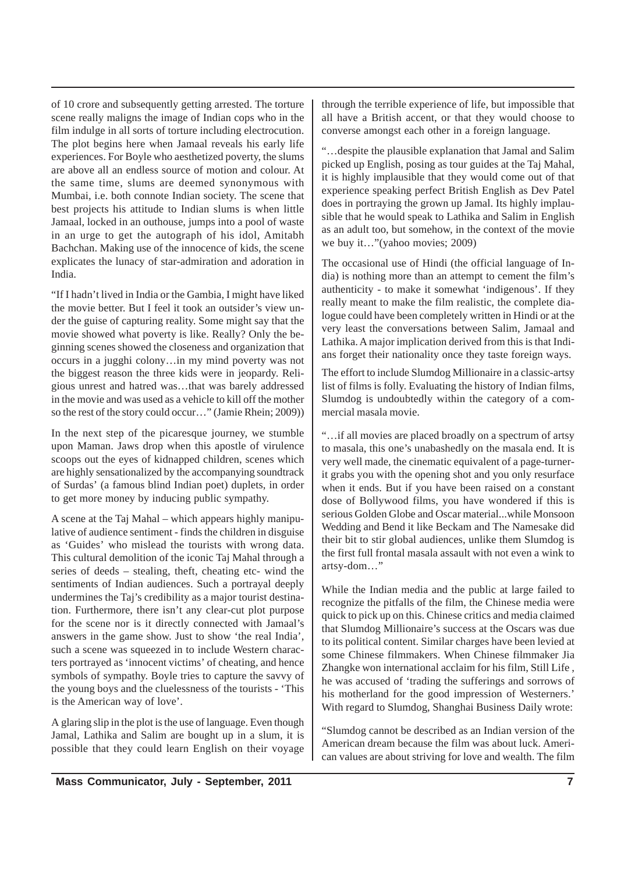of 10 crore and subsequently getting arrested. The torture scene really maligns the image of Indian cops who in the film indulge in all sorts of torture including electrocution. The plot begins here when Jamaal reveals his early life experiences. For Boyle who aesthetized poverty, the slums are above all an endless source of motion and colour. At the same time, slums are deemed synonymous with Mumbai, i.e. both connote Indian society. The scene that best projects his attitude to Indian slums is when little Jamaal, locked in an outhouse, jumps into a pool of waste in an urge to get the autograph of his idol, Amitabh Bachchan. Making use of the innocence of kids, the scene explicates the lunacy of star-admiration and adoration in India.

"If I hadn't lived in India or the Gambia, I might have liked the movie better. But I feel it took an outsider's view under the guise of capturing reality. Some might say that the movie showed what poverty is like. Really? Only the beginning scenes showed the closeness and organization that occurs in a jugghi colony…in my mind poverty was not the biggest reason the three kids were in jeopardy. Religious unrest and hatred was…that was barely addressed in the movie and was used as a vehicle to kill off the mother so the rest of the story could occur…" (Jamie Rhein; 2009))

In the next step of the picaresque journey, we stumble upon Maman. Jaws drop when this apostle of virulence scoops out the eyes of kidnapped children, scenes which are highly sensationalized by the accompanying soundtrack of Surdas' (a famous blind Indian poet) duplets, in order to get more money by inducing public sympathy.

A scene at the Taj Mahal – which appears highly manipulative of audience sentiment - finds the children in disguise as 'Guides' who mislead the tourists with wrong data. This cultural demolition of the iconic Taj Mahal through a series of deeds – stealing, theft, cheating etc- wind the sentiments of Indian audiences. Such a portrayal deeply undermines the Taj's credibility as a major tourist destination. Furthermore, there isn't any clear-cut plot purpose for the scene nor is it directly connected with Jamaal's answers in the game show. Just to show 'the real India', such a scene was squeezed in to include Western characters portrayed as 'innocent victims' of cheating, and hence symbols of sympathy. Boyle tries to capture the savvy of the young boys and the cluelessness of the tourists - 'This is the American way of love'.

A glaring slip in the plot is the use of language. Even though Jamal, Lathika and Salim are bought up in a slum, it is possible that they could learn English on their voyage through the terrible experience of life, but impossible that all have a British accent, or that they would choose to converse amongst each other in a foreign language.

"…despite the plausible explanation that Jamal and Salim picked up English, posing as tour guides at the Taj Mahal, it is highly implausible that they would come out of that experience speaking perfect British English as Dev Patel does in portraying the grown up Jamal. Its highly implausible that he would speak to Lathika and Salim in English as an adult too, but somehow, in the context of the movie we buy it…"(yahoo movies; 2009)

The occasional use of Hindi (the official language of India) is nothing more than an attempt to cement the film's authenticity - to make it somewhat 'indigenous'. If they really meant to make the film realistic, the complete dialogue could have been completely written in Hindi or at the very least the conversations between Salim, Jamaal and Lathika. A major implication derived from this is that Indians forget their nationality once they taste foreign ways.

The effort to include Slumdog Millionaire in a classic-artsy list of films is folly. Evaluating the history of Indian films, Slumdog is undoubtedly within the category of a commercial masala movie.

"…if all movies are placed broadly on a spectrum of artsy to masala, this one's unabashedly on the masala end. It is very well made, the cinematic equivalent of a page-turnerit grabs you with the opening shot and you only resurface when it ends. But if you have been raised on a constant dose of Bollywood films, you have wondered if this is serious Golden Globe and Oscar material...while Monsoon Wedding and Bend it like Beckam and The Namesake did their bit to stir global audiences, unlike them Slumdog is the first full frontal masala assault with not even a wink to artsy-dom…"

While the Indian media and the public at large failed to recognize the pitfalls of the film, the Chinese media were quick to pick up on this. Chinese critics and media claimed that Slumdog Millionaire's success at the Oscars was due to its political content. Similar charges have been levied at some Chinese filmmakers. When Chinese filmmaker Jia Zhangke won international acclaim for his film, Still Life , he was accused of 'trading the sufferings and sorrows of his motherland for the good impression of Westerners.' With regard to Slumdog, Shanghai Business Daily wrote:

"Slumdog cannot be described as an Indian version of the American dream because the film was about luck. American values are about striving for love and wealth. The film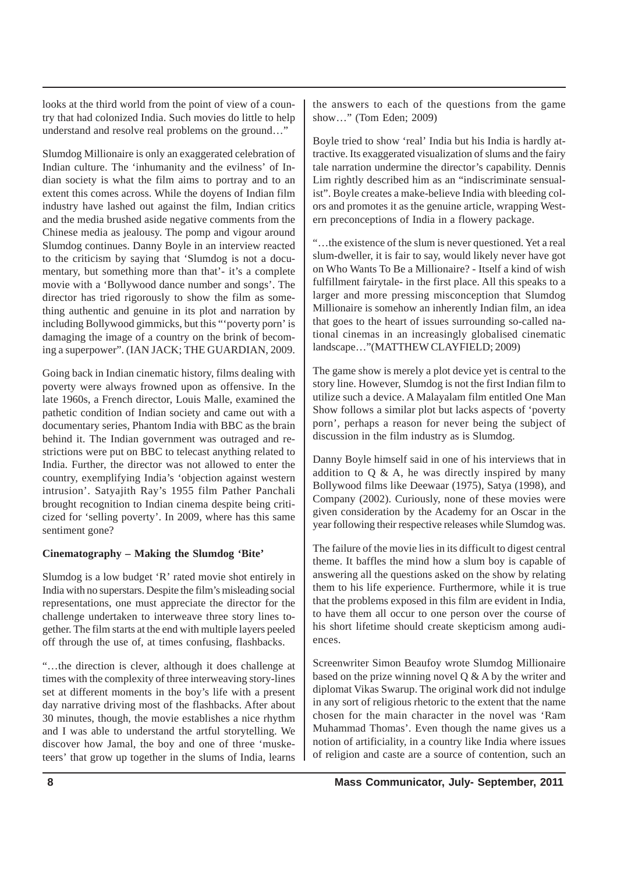looks at the third world from the point of view of a country that had colonized India. Such movies do little to help understand and resolve real problems on the ground…"

Slumdog Millionaire is only an exaggerated celebration of Indian culture. The 'inhumanity and the evilness' of Indian society is what the film aims to portray and to an extent this comes across. While the doyens of Indian film industry have lashed out against the film, Indian critics and the media brushed aside negative comments from the Chinese media as jealousy. The pomp and vigour around Slumdog continues. Danny Boyle in an interview reacted to the criticism by saying that 'Slumdog is not a documentary, but something more than that'- it's a complete movie with a 'Bollywood dance number and songs'. The director has tried rigorously to show the film as something authentic and genuine in its plot and narration by including Bollywood gimmicks, but this "'poverty porn' is damaging the image of a country on the brink of becoming a superpower". (IAN JACK; THE GUARDIAN, 2009.

Going back in Indian cinematic history, films dealing with poverty were always frowned upon as offensive. In the late 1960s, a French director, Louis Malle, examined the pathetic condition of Indian society and came out with a documentary series, Phantom India with BBC as the brain behind it. The Indian government was outraged and restrictions were put on BBC to telecast anything related to India. Further, the director was not allowed to enter the country, exemplifying India's 'objection against western intrusion'. Satyajith Ray's 1955 film Pather Panchali brought recognition to Indian cinema despite being criticized for 'selling poverty'. In 2009, where has this same sentiment gone?

## **Cinematography – Making the Slumdog 'Bite'**

Slumdog is a low budget 'R' rated movie shot entirely in India with no superstars. Despite the film's misleading social representations, one must appreciate the director for the challenge undertaken to interweave three story lines together. The film starts at the end with multiple layers peeled off through the use of, at times confusing, flashbacks.

"…the direction is clever, although it does challenge at times with the complexity of three interweaving story-lines set at different moments in the boy's life with a present day narrative driving most of the flashbacks. After about 30 minutes, though, the movie establishes a nice rhythm and I was able to understand the artful storytelling. We discover how Jamal, the boy and one of three 'musketeers' that grow up together in the slums of India, learns the answers to each of the questions from the game show…" (Tom Eden; 2009)

Boyle tried to show 'real' India but his India is hardly attractive. Its exaggerated visualization of slums and the fairy tale narration undermine the director's capability. Dennis Lim rightly described him as an "indiscriminate sensualist". Boyle creates a make-believe India with bleeding colors and promotes it as the genuine article, wrapping Western preconceptions of India in a flowery package.

"…the existence of the slum is never questioned. Yet a real slum-dweller, it is fair to say, would likely never have got on Who Wants To Be a Millionaire? - Itself a kind of wish fulfillment fairytale- in the first place. All this speaks to a larger and more pressing misconception that Slumdog Millionaire is somehow an inherently Indian film, an idea that goes to the heart of issues surrounding so-called national cinemas in an increasingly globalised cinematic landscape…"(MATTHEW CLAYFIELD; 2009)

The game show is merely a plot device yet is central to the story line. However, Slumdog is not the first Indian film to utilize such a device. A Malayalam film entitled One Man Show follows a similar plot but lacks aspects of 'poverty porn', perhaps a reason for never being the subject of discussion in the film industry as is Slumdog.

Danny Boyle himself said in one of his interviews that in addition to  $Q \& A$ , he was directly inspired by many Bollywood films like Deewaar (1975), Satya (1998), and Company (2002). Curiously, none of these movies were given consideration by the Academy for an Oscar in the year following their respective releases while Slumdog was.

The failure of the movie lies in its difficult to digest central theme. It baffles the mind how a slum boy is capable of answering all the questions asked on the show by relating them to his life experience. Furthermore, while it is true that the problems exposed in this film are evident in India, to have them all occur to one person over the course of his short lifetime should create skepticism among audiences.

Screenwriter Simon Beaufoy wrote Slumdog Millionaire based on the prize winning novel Q & A by the writer and diplomat Vikas Swarup. The original work did not indulge in any sort of religious rhetoric to the extent that the name chosen for the main character in the novel was 'Ram Muhammad Thomas'. Even though the name gives us a notion of artificiality, in a country like India where issues of religion and caste are a source of contention, such an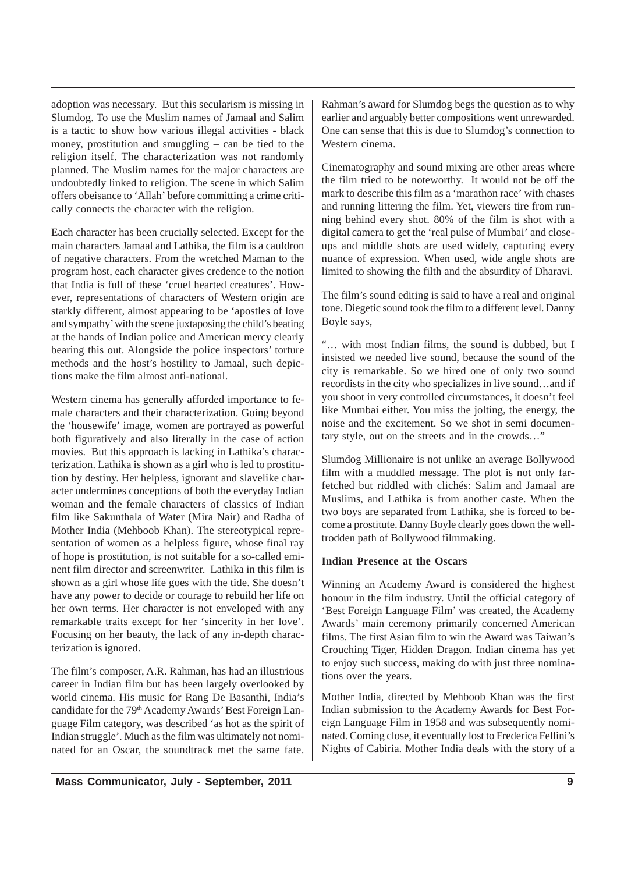adoption was necessary. But this secularism is missing in Slumdog. To use the Muslim names of Jamaal and Salim is a tactic to show how various illegal activities - black money, prostitution and smuggling – can be tied to the religion itself. The characterization was not randomly planned. The Muslim names for the major characters are undoubtedly linked to religion. The scene in which Salim offers obeisance to 'Allah' before committing a crime critically connects the character with the religion.

Each character has been crucially selected. Except for the main characters Jamaal and Lathika, the film is a cauldron of negative characters. From the wretched Maman to the program host, each character gives credence to the notion that India is full of these 'cruel hearted creatures'. However, representations of characters of Western origin are starkly different, almost appearing to be 'apostles of love and sympathy' with the scene juxtaposing the child's beating at the hands of Indian police and American mercy clearly bearing this out. Alongside the police inspectors' torture methods and the host's hostility to Jamaal, such depictions make the film almost anti-national.

Western cinema has generally afforded importance to female characters and their characterization. Going beyond the 'housewife' image, women are portrayed as powerful both figuratively and also literally in the case of action movies. But this approach is lacking in Lathika's characterization. Lathika is shown as a girl who is led to prostitution by destiny. Her helpless, ignorant and slavelike character undermines conceptions of both the everyday Indian woman and the female characters of classics of Indian film like Sakunthala of Water (Mira Nair) and Radha of Mother India (Mehboob Khan). The stereotypical representation of women as a helpless figure, whose final ray of hope is prostitution, is not suitable for a so-called eminent film director and screenwriter. Lathika in this film is shown as a girl whose life goes with the tide. She doesn't have any power to decide or courage to rebuild her life on her own terms. Her character is not enveloped with any remarkable traits except for her 'sincerity in her love'. Focusing on her beauty, the lack of any in-depth characterization is ignored.

The film's composer, A.R. Rahman, has had an illustrious career in Indian film but has been largely overlooked by world cinema. His music for Rang De Basanthi, India's candidate for the 79<sup>th</sup> Academy Awards' Best Foreign Language Film category, was described 'as hot as the spirit of Indian struggle'. Much as the film was ultimately not nominated for an Oscar, the soundtrack met the same fate.

Rahman's award for Slumdog begs the question as to why earlier and arguably better compositions went unrewarded. One can sense that this is due to Slumdog's connection to Western cinema.

Cinematography and sound mixing are other areas where the film tried to be noteworthy. It would not be off the mark to describe this film as a 'marathon race' with chases and running littering the film. Yet, viewers tire from running behind every shot. 80% of the film is shot with a digital camera to get the 'real pulse of Mumbai' and closeups and middle shots are used widely, capturing every nuance of expression. When used, wide angle shots are limited to showing the filth and the absurdity of Dharavi.

The film's sound editing is said to have a real and original tone. Diegetic sound took the film to a different level. Danny Boyle says,

"… with most Indian films, the sound is dubbed, but I insisted we needed live sound, because the sound of the city is remarkable. So we hired one of only two sound recordists in the city who specializes in live sound…and if you shoot in very controlled circumstances, it doesn't feel like Mumbai either. You miss the jolting, the energy, the noise and the excitement. So we shot in semi documentary style, out on the streets and in the crowds…"

Slumdog Millionaire is not unlike an average Bollywood film with a muddled message. The plot is not only farfetched but riddled with clichés: Salim and Jamaal are Muslims, and Lathika is from another caste. When the two boys are separated from Lathika, she is forced to become a prostitute. Danny Boyle clearly goes down the welltrodden path of Bollywood filmmaking.

### **Indian Presence at the Oscars**

Winning an Academy Award is considered the highest honour in the film industry. Until the official category of 'Best Foreign Language Film' was created, the Academy Awards' main ceremony primarily concerned American films. The first Asian film to win the Award was Taiwan's Crouching Tiger, Hidden Dragon. Indian cinema has yet to enjoy such success, making do with just three nominations over the years.

Mother India, directed by Mehboob Khan was the first Indian submission to the Academy Awards for Best Foreign Language Film in 1958 and was subsequently nominated. Coming close, it eventually lost to Frederica Fellini's Nights of Cabiria. Mother India deals with the story of a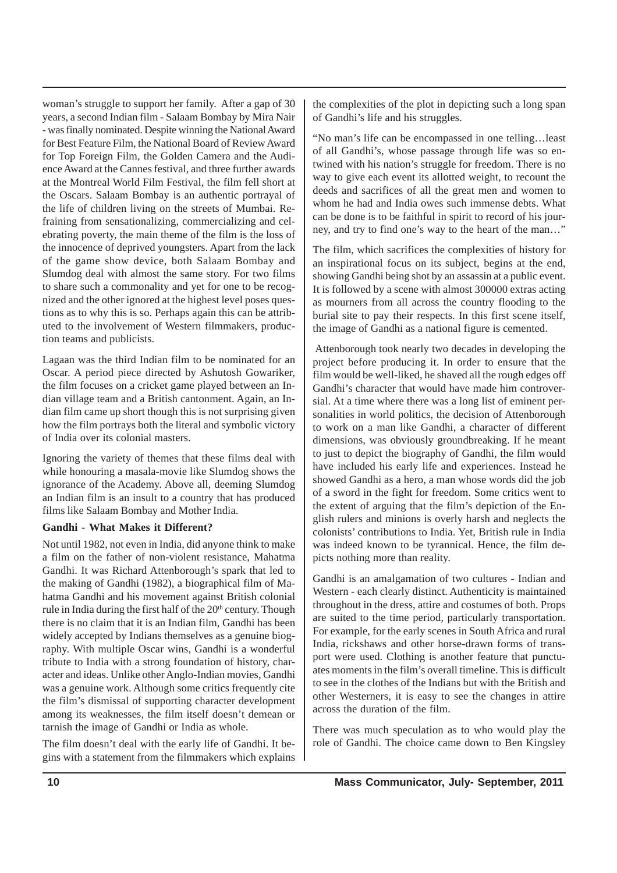woman's struggle to support her family. After a gap of 30 years, a second Indian film - Salaam Bombay by Mira Nair - was finally nominated. Despite winning the National Award for Best Feature Film, the National Board of Review Award for Top Foreign Film, the Golden Camera and the Audience Award at the Cannes festival, and three further awards at the Montreal World Film Festival, the film fell short at the Oscars. Salaam Bombay is an authentic portrayal of the life of children living on the streets of Mumbai. Refraining from sensationalizing, commercializing and celebrating poverty, the main theme of the film is the loss of the innocence of deprived youngsters. Apart from the lack of the game show device, both Salaam Bombay and Slumdog deal with almost the same story. For two films to share such a commonality and yet for one to be recognized and the other ignored at the highest level poses questions as to why this is so. Perhaps again this can be attributed to the involvement of Western filmmakers, production teams and publicists.

Lagaan was the third Indian film to be nominated for an Oscar. A period piece directed by Ashutosh Gowariker, the film focuses on a cricket game played between an Indian village team and a British cantonment. Again, an Indian film came up short though this is not surprising given how the film portrays both the literal and symbolic victory of India over its colonial masters.

Ignoring the variety of themes that these films deal with while honouring a masala-movie like Slumdog shows the ignorance of the Academy. Above all, deeming Slumdog an Indian film is an insult to a country that has produced films like Salaam Bombay and Mother India.

### **Gandhi - What Makes it Different?**

Not until 1982, not even in India, did anyone think to make a film on the father of non-violent resistance, Mahatma Gandhi. It was Richard Attenborough's spark that led to the making of Gandhi (1982), a biographical film of Mahatma Gandhi and his movement against British colonial rule in India during the first half of the  $20<sup>th</sup>$  century. Though there is no claim that it is an Indian film, Gandhi has been widely accepted by Indians themselves as a genuine biography. With multiple Oscar wins, Gandhi is a wonderful tribute to India with a strong foundation of history, character and ideas. Unlike other Anglo-Indian movies, Gandhi was a genuine work. Although some critics frequently cite the film's dismissal of supporting character development among its weaknesses, the film itself doesn't demean or tarnish the image of Gandhi or India as whole.

The film doesn't deal with the early life of Gandhi. It begins with a statement from the filmmakers which explains the complexities of the plot in depicting such a long span of Gandhi's life and his struggles.

"No man's life can be encompassed in one telling…least of all Gandhi's, whose passage through life was so entwined with his nation's struggle for freedom. There is no way to give each event its allotted weight, to recount the deeds and sacrifices of all the great men and women to whom he had and India owes such immense debts. What can be done is to be faithful in spirit to record of his journey, and try to find one's way to the heart of the man…"

The film, which sacrifices the complexities of history for an inspirational focus on its subject, begins at the end, showing Gandhi being shot by an assassin at a public event. It is followed by a scene with almost 300000 extras acting as mourners from all across the country flooding to the burial site to pay their respects. In this first scene itself, the image of Gandhi as a national figure is cemented.

 Attenborough took nearly two decades in developing the project before producing it. In order to ensure that the film would be well-liked, he shaved all the rough edges off Gandhi's character that would have made him controversial. At a time where there was a long list of eminent personalities in world politics, the decision of Attenborough to work on a man like Gandhi, a character of different dimensions, was obviously groundbreaking. If he meant to just to depict the biography of Gandhi, the film would have included his early life and experiences. Instead he showed Gandhi as a hero, a man whose words did the job of a sword in the fight for freedom. Some critics went to the extent of arguing that the film's depiction of the English rulers and minions is overly harsh and neglects the colonists' contributions to India. Yet, British rule in India was indeed known to be tyrannical. Hence, the film depicts nothing more than reality.

Gandhi is an amalgamation of two cultures - Indian and Western - each clearly distinct. Authenticity is maintained throughout in the dress, attire and costumes of both. Props are suited to the time period, particularly transportation. For example, for the early scenes in South Africa and rural India, rickshaws and other horse-drawn forms of transport were used. Clothing is another feature that punctuates moments in the film's overall timeline. This is difficult to see in the clothes of the Indians but with the British and other Westerners, it is easy to see the changes in attire across the duration of the film.

There was much speculation as to who would play the role of Gandhi. The choice came down to Ben Kingsley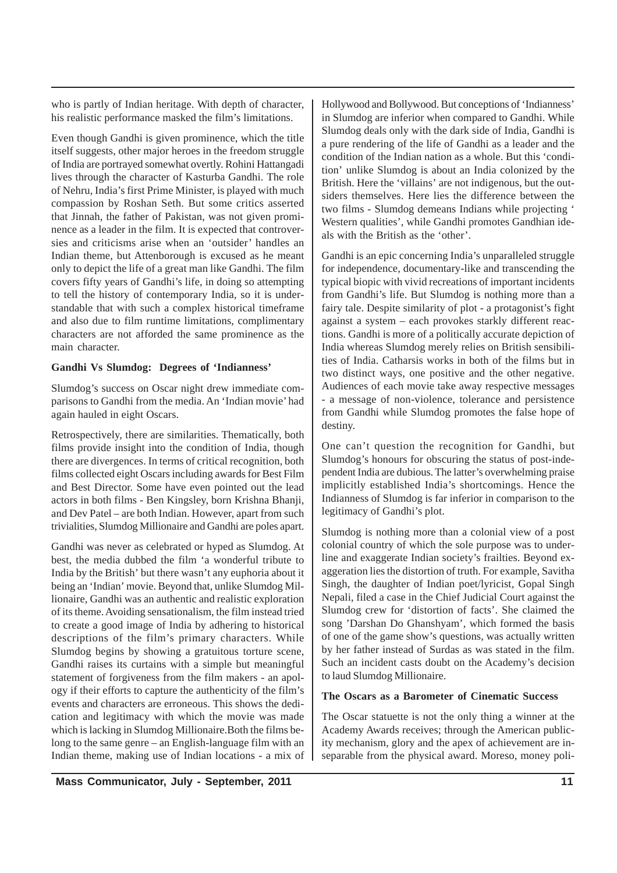who is partly of Indian heritage. With depth of character, his realistic performance masked the film's limitations.

Even though Gandhi is given prominence, which the title itself suggests, other major heroes in the freedom struggle of India are portrayed somewhat overtly. Rohini Hattangadi lives through the character of Kasturba Gandhi. The role of Nehru, India's first Prime Minister, is played with much compassion by Roshan Seth. But some critics asserted that Jinnah, the father of Pakistan, was not given prominence as a leader in the film. It is expected that controversies and criticisms arise when an 'outsider' handles an Indian theme, but Attenborough is excused as he meant only to depict the life of a great man like Gandhi. The film covers fifty years of Gandhi's life, in doing so attempting to tell the history of contemporary India, so it is understandable that with such a complex historical timeframe and also due to film runtime limitations, complimentary characters are not afforded the same prominence as the main character.

### **Gandhi Vs Slumdog: Degrees of 'Indianness'**

Slumdog's success on Oscar night drew immediate comparisons to Gandhi from the media. An 'Indian movie' had again hauled in eight Oscars.

Retrospectively, there are similarities. Thematically, both films provide insight into the condition of India, though there are divergences. In terms of critical recognition, both films collected eight Oscars including awards for Best Film and Best Director. Some have even pointed out the lead actors in both films - Ben Kingsley, born Krishna Bhanji, and Dev Patel – are both Indian. However, apart from such trivialities, Slumdog Millionaire and Gandhi are poles apart.

Gandhi was never as celebrated or hyped as Slumdog. At best, the media dubbed the film 'a wonderful tribute to India by the British' but there wasn't any euphoria about it being an 'Indian' movie. Beyond that, unlike Slumdog Millionaire, Gandhi was an authentic and realistic exploration of its theme. Avoiding sensationalism, the film instead tried to create a good image of India by adhering to historical descriptions of the film's primary characters. While Slumdog begins by showing a gratuitous torture scene, Gandhi raises its curtains with a simple but meaningful statement of forgiveness from the film makers - an apology if their efforts to capture the authenticity of the film's events and characters are erroneous. This shows the dedication and legitimacy with which the movie was made which is lacking in Slumdog Millionaire.Both the films belong to the same genre – an English-language film with an Indian theme, making use of Indian locations - a mix of Hollywood and Bollywood. But conceptions of 'Indianness' in Slumdog are inferior when compared to Gandhi. While Slumdog deals only with the dark side of India, Gandhi is a pure rendering of the life of Gandhi as a leader and the condition of the Indian nation as a whole. But this 'condition' unlike Slumdog is about an India colonized by the British. Here the 'villains' are not indigenous, but the outsiders themselves. Here lies the difference between the two films - Slumdog demeans Indians while projecting ' Western qualities', while Gandhi promotes Gandhian ideals with the British as the 'other'.

Gandhi is an epic concerning India's unparalleled struggle for independence, documentary-like and transcending the typical biopic with vivid recreations of important incidents from Gandhi's life. But Slumdog is nothing more than a fairy tale. Despite similarity of plot - a protagonist's fight against a system – each provokes starkly different reactions. Gandhi is more of a politically accurate depiction of India whereas Slumdog merely relies on British sensibilities of India. Catharsis works in both of the films but in two distinct ways, one positive and the other negative. Audiences of each movie take away respective messages - a message of non-violence, tolerance and persistence from Gandhi while Slumdog promotes the false hope of destiny.

One can't question the recognition for Gandhi, but Slumdog's honours for obscuring the status of post-independent India are dubious. The latter's overwhelming praise implicitly established India's shortcomings. Hence the Indianness of Slumdog is far inferior in comparison to the legitimacy of Gandhi's plot.

Slumdog is nothing more than a colonial view of a post colonial country of which the sole purpose was to underline and exaggerate Indian society's frailties. Beyond exaggeration lies the distortion of truth. For example, Savitha Singh, the daughter of Indian poet/lyricist, Gopal Singh Nepali, filed a case in the Chief Judicial Court against the Slumdog crew for 'distortion of facts'. She claimed the song 'Darshan Do Ghanshyam', which formed the basis of one of the game show's questions, was actually written by her father instead of Surdas as was stated in the film. Such an incident casts doubt on the Academy's decision to laud Slumdog Millionaire.

### **The Oscars as a Barometer of Cinematic Success**

The Oscar statuette is not the only thing a winner at the Academy Awards receives; through the American publicity mechanism, glory and the apex of achievement are inseparable from the physical award. Moreso, money poli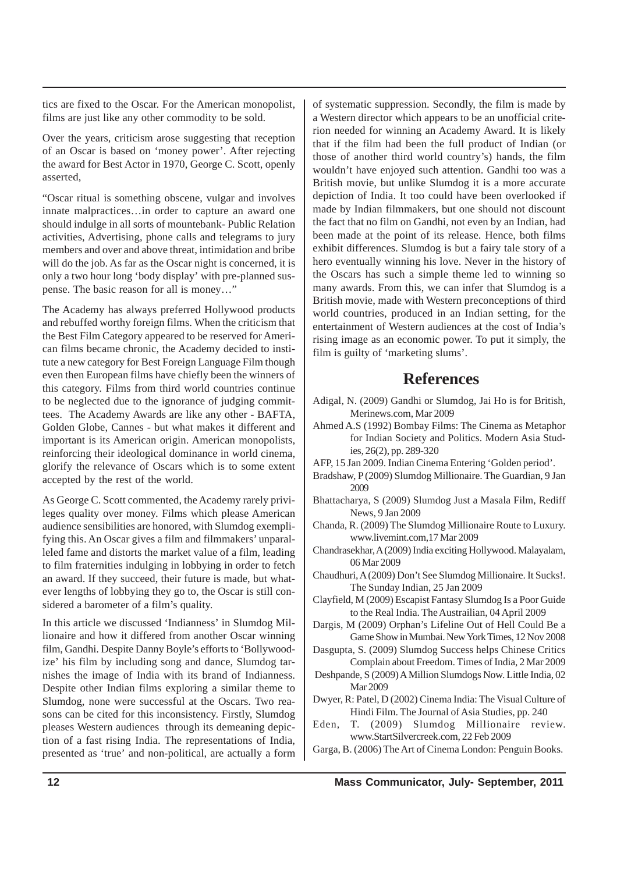tics are fixed to the Oscar. For the American monopolist, films are just like any other commodity to be sold.

Over the years, criticism arose suggesting that reception of an Oscar is based on 'money power'. After rejecting the award for Best Actor in 1970, George C. Scott, openly asserted,

"Oscar ritual is something obscene, vulgar and involves innate malpractices…in order to capture an award one should indulge in all sorts of mountebank- Public Relation activities, Advertising, phone calls and telegrams to jury members and over and above threat, intimidation and bribe will do the job. As far as the Oscar night is concerned, it is only a two hour long 'body display' with pre-planned suspense. The basic reason for all is money…"

The Academy has always preferred Hollywood products and rebuffed worthy foreign films. When the criticism that the Best Film Category appeared to be reserved for American films became chronic, the Academy decided to institute a new category for Best Foreign Language Film though even then European films have chiefly been the winners of this category. Films from third world countries continue to be neglected due to the ignorance of judging committees. The Academy Awards are like any other - BAFTA, Golden Globe, Cannes - but what makes it different and important is its American origin. American monopolists, reinforcing their ideological dominance in world cinema, glorify the relevance of Oscars which is to some extent accepted by the rest of the world.

As George C. Scott commented, the Academy rarely privileges quality over money. Films which please American audience sensibilities are honored, with Slumdog exemplifying this. An Oscar gives a film and filmmakers' unparalleled fame and distorts the market value of a film, leading to film fraternities indulging in lobbying in order to fetch an award. If they succeed, their future is made, but whatever lengths of lobbying they go to, the Oscar is still considered a barometer of a film's quality.

In this article we discussed 'Indianness' in Slumdog Millionaire and how it differed from another Oscar winning film, Gandhi. Despite Danny Boyle's efforts to 'Bollywoodize' his film by including song and dance, Slumdog tarnishes the image of India with its brand of Indianness. Despite other Indian films exploring a similar theme to Slumdog, none were successful at the Oscars. Two reasons can be cited for this inconsistency. Firstly, Slumdog pleases Western audiences through its demeaning depiction of a fast rising India. The representations of India, presented as 'true' and non-political, are actually a form of systematic suppression. Secondly, the film is made by a Western director which appears to be an unofficial criterion needed for winning an Academy Award. It is likely that if the film had been the full product of Indian (or those of another third world country's) hands, the film wouldn't have enjoyed such attention. Gandhi too was a British movie, but unlike Slumdog it is a more accurate depiction of India. It too could have been overlooked if made by Indian filmmakers, but one should not discount the fact that no film on Gandhi, not even by an Indian, had been made at the point of its release. Hence, both films exhibit differences. Slumdog is but a fairy tale story of a hero eventually winning his love. Never in the history of the Oscars has such a simple theme led to winning so many awards. From this, we can infer that Slumdog is a British movie, made with Western preconceptions of third world countries, produced in an Indian setting, for the entertainment of Western audiences at the cost of India's rising image as an economic power. To put it simply, the film is guilty of 'marketing slums'.

## **References**

- Adigal, N. (2009) Gandhi or Slumdog, Jai Ho is for British, Merinews.com, Mar 2009
- Ahmed A.S (1992) Bombay Films: The Cinema as Metaphor for Indian Society and Politics. Modern Asia Studies, 26(2), pp. 289-320
- AFP, 15 Jan 2009. Indian Cinema Entering 'Golden period'.
- Bradshaw, P (2009) Slumdog Millionaire. The Guardian, 9 Jan 2009
- Bhattacharya, S (2009) Slumdog Just a Masala Film, Rediff News, 9 Jan 2009
- Chanda, R. (2009) The Slumdog Millionaire Route to Luxury. www.livemint.com,17 Mar 2009
- Chandrasekhar, A (2009) India exciting Hollywood. Malayalam, 06 Mar 2009
- Chaudhuri, A (2009) Don't See Slumdog Millionaire. It Sucks!. The Sunday Indian, 25 Jan 2009
- Clayfield, M (2009) Escapist Fantasy Slumdog Is a Poor Guide to the Real India. The Austrailian, 04 April 2009
- Dargis, M (2009) Orphan's Lifeline Out of Hell Could Be a Game Show in Mumbai. New York Times, 12 Nov 2008
- Dasgupta, S. (2009) Slumdog Success helps Chinese Critics Complain about Freedom. Times of India, 2 Mar 2009
- Deshpande, S (2009) A Million Slumdogs Now. Little India, 02 Mar 2009
- Dwyer, R: Patel, D (2002) Cinema India: The Visual Culture of Hindi Film. The Journal of Asia Studies, pp. 240
- Eden, T. (2009) Slumdog Millionaire review. www.StartSilvercreek.com, 22 Feb 2009
- Garga, B. (2006) The Art of Cinema London: Penguin Books.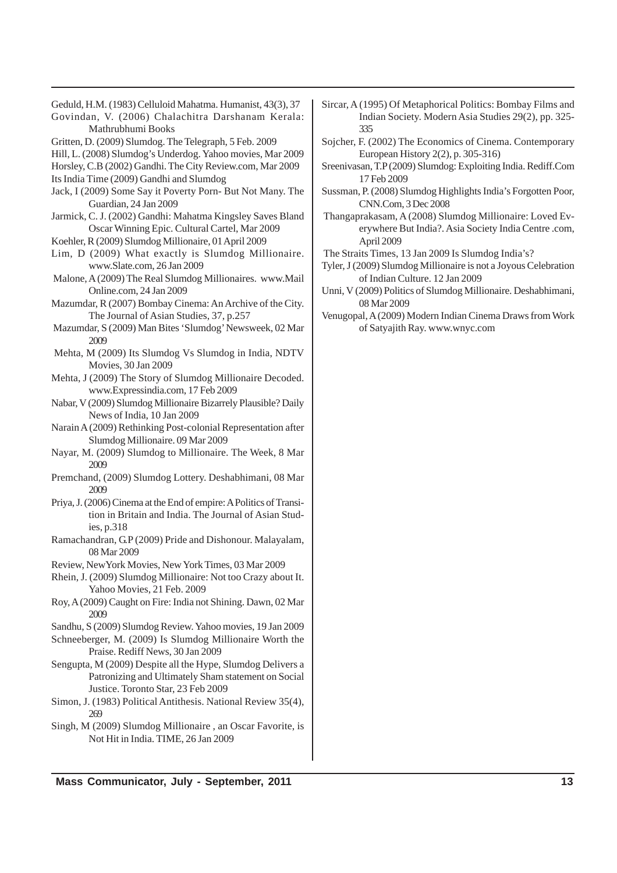- Geduld, H.M. (1983) Celluloid Mahatma. Humanist, 43(3), 37
- Govindan, V. (2006) Chalachitra Darshanam Kerala: Mathrubhumi Books
- Gritten, D. (2009) Slumdog. The Telegraph, 5 Feb. 2009
- Hill, L. (2008) Slumdog's Underdog. Yahoo movies, Mar 2009
- Horsley, C.B (2002) Gandhi. The City Review.com, Mar 2009
- Its India Time (2009) Gandhi and Slumdog
- Jack, I (2009) Some Say it Poverty Porn- But Not Many. The Guardian, 24 Jan 2009
- Jarmick, C. J. (2002) Gandhi: Mahatma Kingsley Saves Bland Oscar Winning Epic. Cultural Cartel, Mar 2009
- Koehler, R (2009) Slumdog Millionaire, 01 April 2009
- Lim, D (2009) What exactly is Slumdog Millionaire. www.Slate.com, 26 Jan 2009
- Malone, A (2009) The Real Slumdog Millionaires. www.Mail Online.com, 24 Jan 2009
- Mazumdar, R (2007) Bombay Cinema: An Archive of the City. The Journal of Asian Studies, 37, p.257
- Mazumdar, S (2009) Man Bites 'Slumdog' Newsweek, 02 Mar 2009
- Mehta, M (2009) Its Slumdog Vs Slumdog in India, NDTV Movies, 30 Jan 2009
- Mehta, J (2009) The Story of Slumdog Millionaire Decoded. www.Expressindia.com, 17 Feb 2009
- Nabar, V (2009) Slumdog Millionaire Bizarrely Plausible? Daily News of India, 10 Jan 2009
- Narain A (2009) Rethinking Post-colonial Representation after Slumdog Millionaire. 09 Mar 2009
- Nayar, M. (2009) Slumdog to Millionaire. The Week, 8 Mar 2009
- Premchand, (2009) Slumdog Lottery. Deshabhimani, 08 Mar 2009
- Priya, J. (2006) Cinema at the End of empire: A Politics of Transition in Britain and India. The Journal of Asian Studies, p.318
- Ramachandran, G.P (2009) Pride and Dishonour. Malayalam, 08 Mar 2009
- Review, NewYork Movies, New York Times, 03 Mar 2009
- Rhein, J. (2009) Slumdog Millionaire: Not too Crazy about It. Yahoo Movies, 21 Feb. 2009
- Roy, A (2009) Caught on Fire: India not Shining. Dawn, 02 Mar 2009
- Sandhu, S (2009) Slumdog Review. Yahoo movies, 19 Jan 2009
- Schneeberger, M. (2009) Is Slumdog Millionaire Worth the Praise. Rediff News, 30 Jan 2009
- Sengupta, M (2009) Despite all the Hype, Slumdog Delivers a Patronizing and Ultimately Sham statement on Social Justice. Toronto Star, 23 Feb 2009
- Simon, J. (1983) Political Antithesis. National Review 35(4), 269
- Singh, M (2009) Slumdog Millionaire , an Oscar Favorite, is Not Hit in India. TIME, 26 Jan 2009
- Sircar, A (1995) Of Metaphorical Politics: Bombay Films and Indian Society. Modern Asia Studies 29(2), pp. 325- 335
- Sojcher, F. (2002) The Economics of Cinema. Contemporary European History 2(2), p. 305-316)
- Sreenivasan, T.P (2009) Slumdog: Exploiting India. Rediff.Com 17 Feb 2009
- Sussman, P. (2008) Slumdog Highlights India's Forgotten Poor, CNN.Com, 3 Dec 2008
- Thangaprakasam, A (2008) Slumdog Millionaire: Loved Everywhere But India?. Asia Society India Centre .com, April 2009
- The Straits Times, 13 Jan 2009 Is Slumdog India's?
- Tyler, J (2009) Slumdog Millionaire is not a Joyous Celebration of Indian Culture. 12 Jan 2009
- Unni, V (2009) Politics of Slumdog Millionaire. Deshabhimani, 08 Mar 2009
- Venugopal, A (2009) Modern Indian Cinema Draws from Work of Satyajith Ray. www.wnyc.com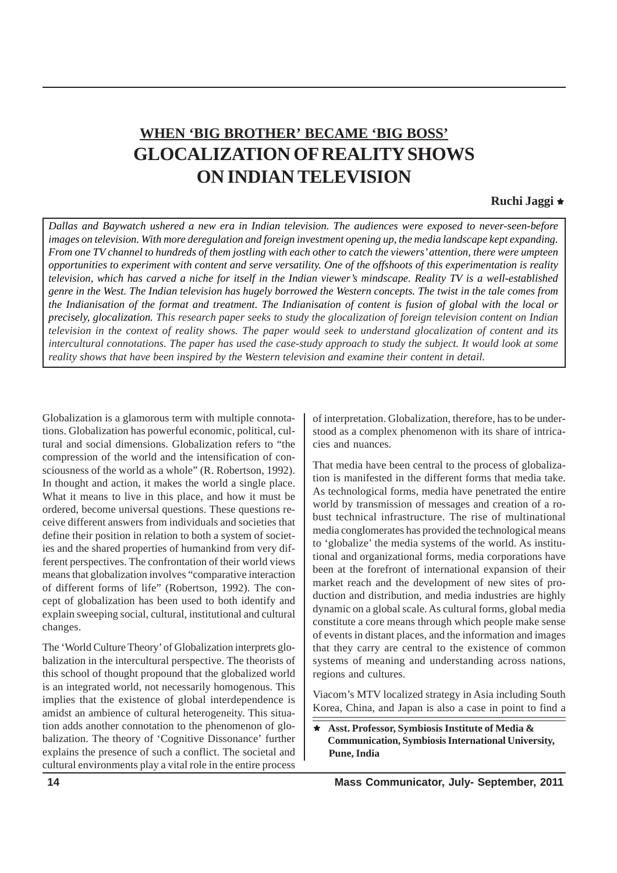# **WHEN 'BIG BROTHER' BECAME 'BIG BOSS' GLOCALIZATION OF REALITY SHOWS ON INDIAN TELEVISION**

## **Ruchi Jaggi**  $\star$

*Dallas and Baywatch ushered a new era in Indian television. The audiences were exposed to never-seen-before images on television. With more deregulation and foreign investment opening up, the media landscape kept expanding. From one TV channel to hundreds of them jostling with each other to catch the viewers' attention, there were umpteen opportunities to experiment with content and serve versatility. One of the offshoots of this experimentation is reality television, which has carved a niche for itself in the Indian viewer's mindscape. Reality TV is a well-established genre in the West. The Indian television has hugely borrowed the Western concepts. The twist in the tale comes from the Indianisation of the format and treatment. The Indianisation of content is fusion of global with the local or precisely, glocalization. This research paper seeks to study the glocalization of foreign television content on Indian television in the context of reality shows. The paper would seek to understand glocalization of content and its intercultural connotations. The paper has used the case-study approach to study the subject. It would look at some reality shows that have been inspired by the Western television and examine their content in detail.*

Globalization is a glamorous term with multiple connotations. Globalization has powerful economic, political, cultural and social dimensions. Globalization refers to "the compression of the world and the intensification of consciousness of the world as a whole" (R. Robertson, 1992). In thought and action, it makes the world a single place. What it means to live in this place, and how it must be ordered, become universal questions. These questions receive different answers from individuals and societies that define their position in relation to both a system of societies and the shared properties of humankind from very different perspectives. The confrontation of their world views means that globalization involves "comparative interaction of different forms of life" (Robertson, 1992). The concept of globalization has been used to both identify and explain sweeping social, cultural, institutional and cultural changes.

The 'World Culture Theory' of Globalization interprets globalization in the intercultural perspective. The theorists of this school of thought propound that the globalized world is an integrated world, not necessarily homogenous. This implies that the existence of global interdependence is amidst an ambience of cultural heterogeneity. This situation adds another connotation to the phenomenon of globalization. The theory of 'Cognitive Dissonance' further explains the presence of such a conflict. The societal and cultural environments play a vital role in the entire process

of interpretation. Globalization, therefore, has to be understood as a complex phenomenon with its share of intricacies and nuances.

That media have been central to the process of globalization is manifested in the different forms that media take. As technological forms, media have penetrated the entire world by transmission of messages and creation of a robust technical infrastructure. The rise of multinational media conglomerates has provided the technological means to 'globalize' the media systems of the world. As institutional and organizational forms, media corporations have been at the forefront of international expansion of their market reach and the development of new sites of production and distribution, and media industries are highly dynamic on a global scale. As cultural forms, global media constitute a core means through which people make sense of events in distant places, and the information and images that they carry are central to the existence of common systems of meaning and understanding across nations, regions and cultures.

Viacom's MTV localized strategy in Asia including South Korea, China, and Japan is also a case in point to find a

Ì **Asst. Professor, Symbiosis Institute of Media & Communication, Symbiosis International University, Pune, India**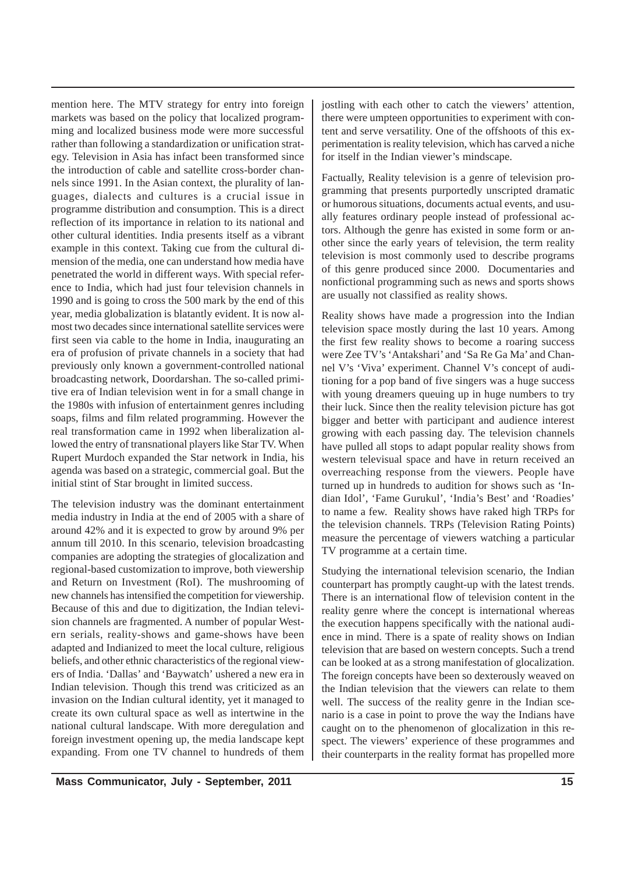mention here. The MTV strategy for entry into foreign markets was based on the policy that localized programming and localized business mode were more successful rather than following a standardization or unification strategy. Television in Asia has infact been transformed since the introduction of cable and satellite cross-border channels since 1991. In the Asian context, the plurality of languages, dialects and cultures is a crucial issue in programme distribution and consumption. This is a direct reflection of its importance in relation to its national and other cultural identities. India presents itself as a vibrant example in this context. Taking cue from the cultural dimension of the media, one can understand how media have penetrated the world in different ways. With special reference to India, which had just four television channels in 1990 and is going to cross the 500 mark by the end of this year, media globalization is blatantly evident. It is now almost two decades since international satellite services were first seen via cable to the home in India, inaugurating an era of profusion of private channels in a society that had previously only known a government-controlled national broadcasting network, Doordarshan. The so-called primitive era of Indian television went in for a small change in the 1980s with infusion of entertainment genres including soaps, films and film related programming. However the real transformation came in 1992 when liberalization allowed the entry of transnational players like Star TV. When Rupert Murdoch expanded the Star network in India, his agenda was based on a strategic, commercial goal. But the initial stint of Star brought in limited success.

The television industry was the dominant entertainment media industry in India at the end of 2005 with a share of around 42% and it is expected to grow by around 9% per annum till 2010. In this scenario, television broadcasting companies are adopting the strategies of glocalization and regional-based customization to improve, both viewership and Return on Investment (RoI). The mushrooming of new channels has intensified the competition for viewership. Because of this and due to digitization, the Indian television channels are fragmented. A number of popular Western serials, reality-shows and game-shows have been adapted and Indianized to meet the local culture, religious beliefs, and other ethnic characteristics of the regional viewers of India. 'Dallas' and 'Baywatch' ushered a new era in Indian television. Though this trend was criticized as an invasion on the Indian cultural identity, yet it managed to create its own cultural space as well as intertwine in the national cultural landscape. With more deregulation and foreign investment opening up, the media landscape kept expanding. From one TV channel to hundreds of them jostling with each other to catch the viewers' attention, there were umpteen opportunities to experiment with content and serve versatility. One of the offshoots of this experimentation is reality television, which has carved a niche for itself in the Indian viewer's mindscape.

Factually, Reality television is a genre of television programming that presents purportedly unscripted dramatic or humorous situations, documents actual events, and usually features ordinary people instead of professional actors. Although the genre has existed in some form or another since the early years of television, the term reality television is most commonly used to describe programs of this genre produced since 2000. Documentaries and nonfictional programming such as news and sports shows are usually not classified as reality shows.

Reality shows have made a progression into the Indian television space mostly during the last 10 years. Among the first few reality shows to become a roaring success were Zee TV's 'Antakshari' and 'Sa Re Ga Ma' and Channel V's 'Viva' experiment. Channel V's concept of auditioning for a pop band of five singers was a huge success with young dreamers queuing up in huge numbers to try their luck. Since then the reality television picture has got bigger and better with participant and audience interest growing with each passing day. The television channels have pulled all stops to adapt popular reality shows from western televisual space and have in return received an overreaching response from the viewers. People have turned up in hundreds to audition for shows such as 'Indian Idol', 'Fame Gurukul', 'India's Best' and 'Roadies' to name a few. Reality shows have raked high TRPs for the television channels. TRPs (Television Rating Points) measure the percentage of viewers watching a particular TV programme at a certain time.

Studying the international television scenario, the Indian counterpart has promptly caught-up with the latest trends. There is an international flow of television content in the reality genre where the concept is international whereas the execution happens specifically with the national audience in mind. There is a spate of reality shows on Indian television that are based on western concepts. Such a trend can be looked at as a strong manifestation of glocalization. The foreign concepts have been so dexterously weaved on the Indian television that the viewers can relate to them well. The success of the reality genre in the Indian scenario is a case in point to prove the way the Indians have caught on to the phenomenon of glocalization in this respect. The viewers' experience of these programmes and their counterparts in the reality format has propelled more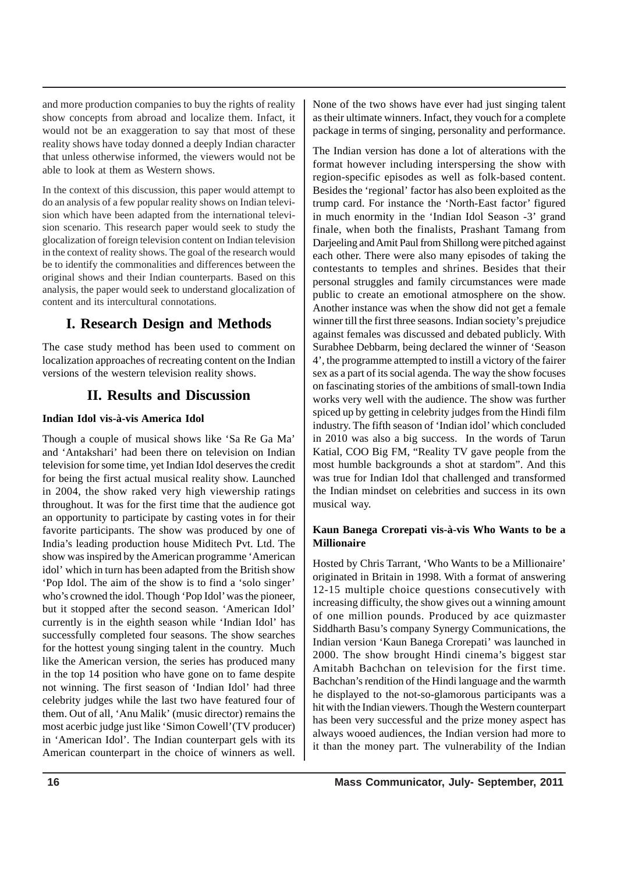and more production companies to buy the rights of reality show concepts from abroad and localize them. Infact, it would not be an exaggeration to say that most of these reality shows have today donned a deeply Indian character that unless otherwise informed, the viewers would not be able to look at them as Western shows.

In the context of this discussion, this paper would attempt to do an analysis of a few popular reality shows on Indian television which have been adapted from the international television scenario. This research paper would seek to study the glocalization of foreign television content on Indian television in the context of reality shows. The goal of the research would be to identify the commonalities and differences between the original shows and their Indian counterparts. Based on this analysis, the paper would seek to understand glocalization of content and its intercultural connotations.

# **I. Research Design and Methods**

The case study method has been used to comment on localization approaches of recreating content on the Indian versions of the western television reality shows.

# **II. Results and Discussion**

## **Indian Idol vis-à-vis America Idol**

Though a couple of musical shows like 'Sa Re Ga Ma' and 'Antakshari' had been there on television on Indian television for some time, yet Indian Idol deserves the credit for being the first actual musical reality show. Launched in 2004, the show raked very high viewership ratings throughout. It was for the first time that the audience got an opportunity to participate by casting votes in for their favorite participants. The show was produced by one of India's leading production house Miditech Pvt. Ltd. The show was inspired by the American programme 'American idol' which in turn has been adapted from the British show 'Pop Idol. The aim of the show is to find a 'solo singer' who's crowned the idol. Though 'Pop Idol' was the pioneer, but it stopped after the second season. 'American Idol' currently is in the eighth season while 'Indian Idol' has successfully completed four seasons. The show searches for the hottest young singing talent in the country. Much like the American version, the series has produced many in the top 14 position who have gone on to fame despite not winning. The first season of 'Indian Idol' had three celebrity judges while the last two have featured four of them. Out of all, 'Anu Malik' (music director) remains the most acerbic judge just like 'Simon Cowell'(TV producer) in 'American Idol'. The Indian counterpart gels with its American counterpart in the choice of winners as well. None of the two shows have ever had just singing talent as their ultimate winners. Infact, they vouch for a complete package in terms of singing, personality and performance.

The Indian version has done a lot of alterations with the format however including interspersing the show with region-specific episodes as well as folk-based content. Besides the 'regional' factor has also been exploited as the trump card. For instance the 'North-East factor' figured in much enormity in the 'Indian Idol Season -3' grand finale, when both the finalists, Prashant Tamang from Darjeeling and Amit Paul from Shillong were pitched against each other. There were also many episodes of taking the contestants to temples and shrines. Besides that their personal struggles and family circumstances were made public to create an emotional atmosphere on the show. Another instance was when the show did not get a female winner till the first three seasons. Indian society's prejudice against females was discussed and debated publicly. With Surabhee Debbarm, being declared the winner of 'Season 4', the programme attempted to instill a victory of the fairer sex as a part of its social agenda. The way the show focuses on fascinating stories of the ambitions of small-town India works very well with the audience. The show was further spiced up by getting in celebrity judges from the Hindi film industry. The fifth season of 'Indian idol' which concluded in 2010 was also a big success. In the words of Tarun Katial, COO Big FM, "Reality TV gave people from the most humble backgrounds a shot at stardom". And this was true for Indian Idol that challenged and transformed the Indian mindset on celebrities and success in its own musical way.

## **Kaun Banega Crorepati vis-à-vis Who Wants to be a Millionaire**

Hosted by Chris Tarrant, 'Who Wants to be a Millionaire' originated in Britain in 1998. With a format of answering 12-15 multiple choice questions consecutively with increasing difficulty, the show gives out a winning amount of one million pounds. Produced by ace quizmaster Siddharth Basu's company Synergy Communications, the Indian version 'Kaun Banega Crorepati' was launched in 2000. The show brought Hindi cinema's biggest star Amitabh Bachchan on television for the first time. Bachchan's rendition of the Hindi language and the warmth he displayed to the not-so-glamorous participants was a hit with the Indian viewers. Though the Western counterpart has been very successful and the prize money aspect has always wooed audiences, the Indian version had more to it than the money part. The vulnerability of the Indian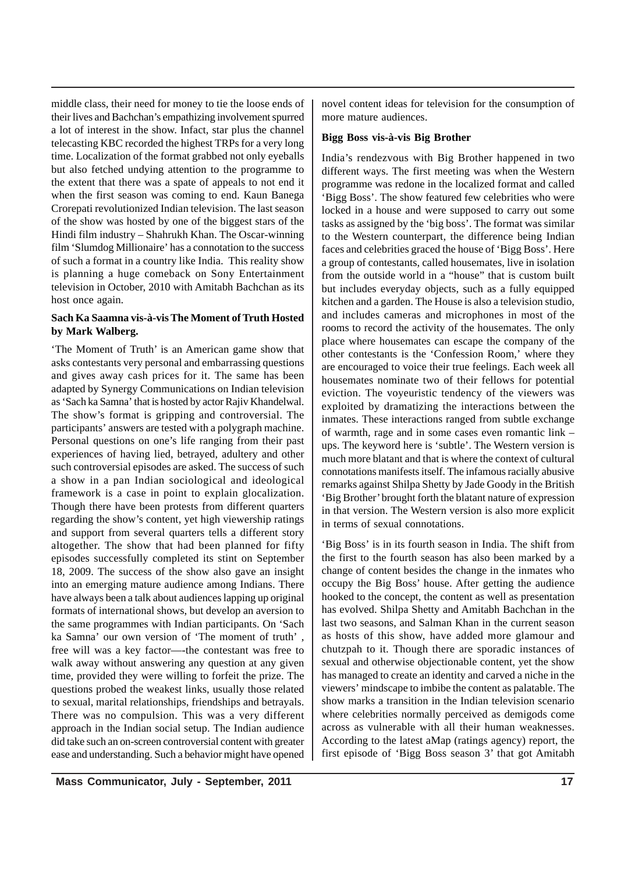middle class, their need for money to tie the loose ends of their lives and Bachchan's empathizing involvement spurred a lot of interest in the show. Infact, star plus the channel telecasting KBC recorded the highest TRPs for a very long time. Localization of the format grabbed not only eyeballs but also fetched undying attention to the programme to the extent that there was a spate of appeals to not end it when the first season was coming to end. Kaun Banega Crorepati revolutionized Indian television. The last season of the show was hosted by one of the biggest stars of the Hindi film industry – Shahrukh Khan. The Oscar-winning film 'Slumdog Millionaire' has a connotation to the success of such a format in a country like India. This reality show is planning a huge comeback on Sony Entertainment television in October, 2010 with Amitabh Bachchan as its host once again.

## **Sach Ka Saamna vis-à-vis The Moment of Truth Hosted by Mark Walberg.**

'The Moment of Truth' is an American game show that asks contestants very personal and embarrassing questions and gives away cash prices for it. The same has been adapted by Synergy Communications on Indian television as 'Sach ka Samna' that is hosted by actor Rajiv Khandelwal. The show's format is gripping and controversial. The participants' answers are tested with a polygraph machine. Personal questions on one's life ranging from their past experiences of having lied, betrayed, adultery and other such controversial episodes are asked. The success of such a show in a pan Indian sociological and ideological framework is a case in point to explain glocalization. Though there have been protests from different quarters regarding the show's content, yet high viewership ratings and support from several quarters tells a different story altogether. The show that had been planned for fifty episodes successfully completed its stint on September 18, 2009. The success of the show also gave an insight into an emerging mature audience among Indians. There have always been a talk about audiences lapping up original formats of international shows, but develop an aversion to the same programmes with Indian participants. On 'Sach ka Samna' our own version of 'The moment of truth' , free will was a key factor—-the contestant was free to walk away without answering any question at any given time, provided they were willing to forfeit the prize. The questions probed the weakest links, usually those related to sexual, marital relationships, friendships and betrayals. There was no compulsion. This was a very different approach in the Indian social setup. The Indian audience did take such an on-screen controversial content with greater ease and understanding. Such a behavior might have opened novel content ideas for television for the consumption of more mature audiences.

## **Bigg Boss vis-à-vis Big Brother**

India's rendezvous with Big Brother happened in two different ways. The first meeting was when the Western programme was redone in the localized format and called 'Bigg Boss'. The show featured few celebrities who were locked in a house and were supposed to carry out some tasks as assigned by the 'big boss'. The format was similar to the Western counterpart, the difference being Indian faces and celebrities graced the house of 'Bigg Boss'. Here a group of contestants, called housemates, live in isolation from the outside world in a "house" that is custom built but includes everyday objects, such as a fully equipped kitchen and a garden. The House is also a television studio, and includes cameras and microphones in most of the rooms to record the activity of the housemates. The only place where housemates can escape the company of the other contestants is the 'Confession Room,' where they are encouraged to voice their true feelings. Each week all housemates nominate two of their fellows for potential eviction. The voyeuristic tendency of the viewers was exploited by dramatizing the interactions between the inmates. These interactions ranged from subtle exchange of warmth, rage and in some cases even romantic link – ups. The keyword here is 'subtle'. The Western version is much more blatant and that is where the context of cultural connotations manifests itself. The infamous racially abusive remarks against Shilpa Shetty by Jade Goody in the British 'Big Brother' brought forth the blatant nature of expression in that version. The Western version is also more explicit in terms of sexual connotations.

'Big Boss' is in its fourth season in India. The shift from the first to the fourth season has also been marked by a change of content besides the change in the inmates who occupy the Big Boss' house. After getting the audience hooked to the concept, the content as well as presentation has evolved. Shilpa Shetty and Amitabh Bachchan in the last two seasons, and Salman Khan in the current season as hosts of this show, have added more glamour and chutzpah to it. Though there are sporadic instances of sexual and otherwise objectionable content, yet the show has managed to create an identity and carved a niche in the viewers' mindscape to imbibe the content as palatable. The show marks a transition in the Indian television scenario where celebrities normally perceived as demigods come across as vulnerable with all their human weaknesses. According to the latest aMap (ratings agency) report, the first episode of 'Bigg Boss season 3' that got Amitabh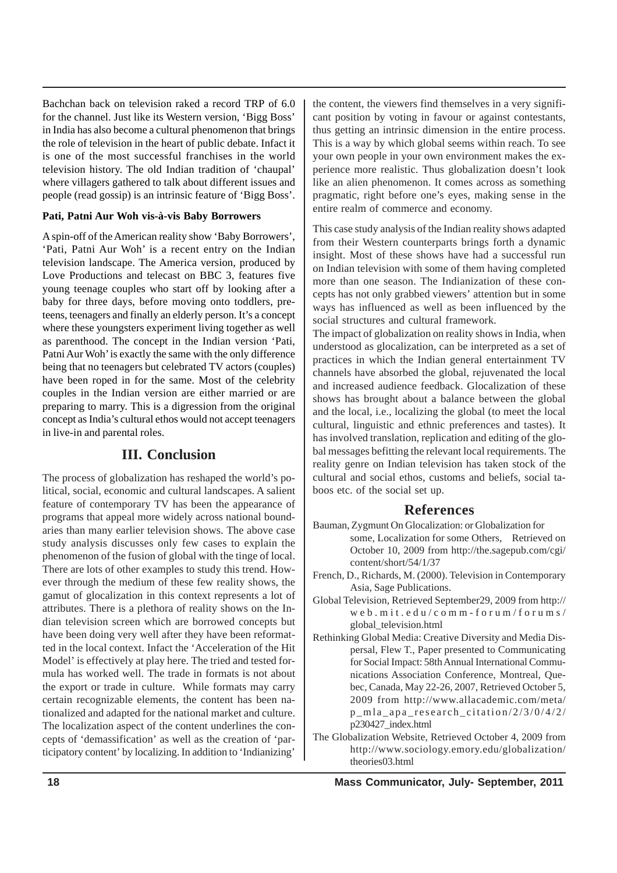Bachchan back on television raked a record TRP of 6.0 for the channel. Just like its Western version, 'Bigg Boss' in India has also become a cultural phenomenon that brings the role of television in the heart of public debate. Infact it is one of the most successful franchises in the world television history. The old Indian tradition of 'chaupal' where villagers gathered to talk about different issues and people (read gossip) is an intrinsic feature of 'Bigg Boss'.

### **Pati, Patni Aur Woh vis-à-vis Baby Borrowers**

A spin-off of the American reality show 'Baby Borrowers', 'Pati, Patni Aur Woh' is a recent entry on the Indian television landscape. The America version, produced by Love Productions and telecast on BBC 3, features five young teenage couples who start off by looking after a baby for three days, before moving onto toddlers, preteens, teenagers and finally an elderly person. It's a concept where these youngsters experiment living together as well as parenthood. The concept in the Indian version 'Pati, Patni Aur Woh' is exactly the same with the only difference being that no teenagers but celebrated TV actors (couples) have been roped in for the same. Most of the celebrity couples in the Indian version are either married or are preparing to marry. This is a digression from the original concept as India's cultural ethos would not accept teenagers in live-in and parental roles.

## **III. Conclusion**

The process of globalization has reshaped the world's political, social, economic and cultural landscapes. A salient feature of contemporary TV has been the appearance of programs that appeal more widely across national boundaries than many earlier television shows. The above case study analysis discusses only few cases to explain the phenomenon of the fusion of global with the tinge of local. There are lots of other examples to study this trend. However through the medium of these few reality shows, the gamut of glocalization in this context represents a lot of attributes. There is a plethora of reality shows on the Indian television screen which are borrowed concepts but have been doing very well after they have been reformatted in the local context. Infact the 'Acceleration of the Hit Model' is effectively at play here. The tried and tested formula has worked well. The trade in formats is not about the export or trade in culture. While formats may carry certain recognizable elements, the content has been nationalized and adapted for the national market and culture. The localization aspect of the content underlines the concepts of 'demassification' as well as the creation of 'participatory content' by localizing. In addition to 'Indianizing'

the content, the viewers find themselves in a very significant position by voting in favour or against contestants, thus getting an intrinsic dimension in the entire process. This is a way by which global seems within reach. To see your own people in your own environment makes the experience more realistic. Thus globalization doesn't look like an alien phenomenon. It comes across as something pragmatic, right before one's eyes, making sense in the entire realm of commerce and economy.

This case study analysis of the Indian reality shows adapted from their Western counterparts brings forth a dynamic insight. Most of these shows have had a successful run on Indian television with some of them having completed more than one season. The Indianization of these concepts has not only grabbed viewers' attention but in some ways has influenced as well as been influenced by the social structures and cultural framework.

The impact of globalization on reality shows in India, when understood as glocalization, can be interpreted as a set of practices in which the Indian general entertainment TV channels have absorbed the global, rejuvenated the local and increased audience feedback. Glocalization of these shows has brought about a balance between the global and the local, i.e., localizing the global (to meet the local cultural, linguistic and ethnic preferences and tastes). It has involved translation, replication and editing of the global messages befitting the relevant local requirements. The reality genre on Indian television has taken stock of the cultural and social ethos, customs and beliefs, social taboos etc. of the social set up.

## **References**

- Bauman, Zygmunt On Glocalization: or Globalization for some, Localization for some Others, Retrieved on October 10, 2009 from http://the.sagepub.com/cgi/ content/short/54/1/37
- French, D., Richards, M. (2000). Television in Contemporary Asia, Sage Publications.
- Global Television, Retrieved September29, 2009 from http:// web.mit.edu/comm-forum/forums/ global\_television.html
- Rethinking Global Media: Creative Diversity and Media Dispersal, Flew T., Paper presented to Communicating for Social Impact: 58th Annual International Communications Association Conference, Montreal, Quebec, Canada, May 22-26, 2007, Retrieved October 5, 2009 from http://www.allacademic.com/meta/ p\_mla\_apa\_research\_citation/2/3/0/4/2/ p230427\_index.html
- The Globalization Website, Retrieved October 4, 2009 from http://www.sociology.emory.edu/globalization/ theories03.html

 **18 Mass Communicator, July- September, 2011**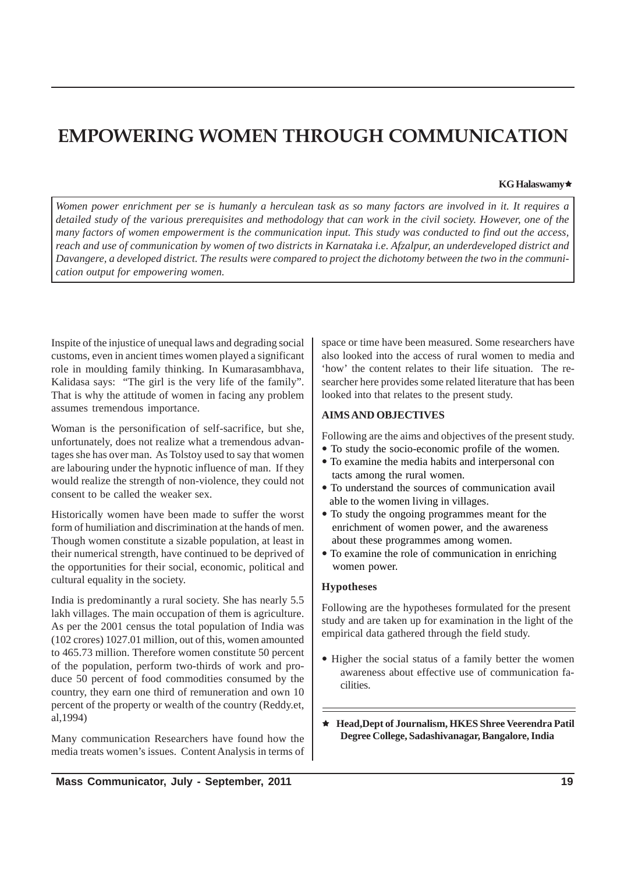# **EMPOWERING WOMEN THROUGH COMMUNICATION**

#### **KG Halaswamy**Ì

*Women power enrichment per se is humanly a herculean task as so many factors are involved in it. It requires a detailed study of the various prerequisites and methodology that can work in the civil society. However, one of the many factors of women empowerment is the communication input. This study was conducted to find out the access, reach and use of communication by women of two districts in Karnataka i.e. Afzalpur, an underdeveloped district and Davangere, a developed district. The results were compared to project the dichotomy between the two in the communication output for empowering women.*

Inspite of the injustice of unequal laws and degrading social customs, even in ancient times women played a significant role in moulding family thinking. In Kumarasambhava, Kalidasa says: "The girl is the very life of the family". That is why the attitude of women in facing any problem assumes tremendous importance.

Woman is the personification of self-sacrifice, but she, unfortunately, does not realize what a tremendous advantages she has over man. As Tolstoy used to say that women are labouring under the hypnotic influence of man. If they would realize the strength of non-violence, they could not consent to be called the weaker sex.

Historically women have been made to suffer the worst form of humiliation and discrimination at the hands of men. Though women constitute a sizable population, at least in their numerical strength, have continued to be deprived of the opportunities for their social, economic, political and cultural equality in the society.

India is predominantly a rural society. She has nearly 5.5 lakh villages. The main occupation of them is agriculture. As per the 2001 census the total population of India was (102 crores) 1027.01 million, out of this, women amounted to 465.73 million. Therefore women constitute 50 percent of the population, perform two-thirds of work and produce 50 percent of food commodities consumed by the country, they earn one third of remuneration and own 10 percent of the property or wealth of the country (Reddy.et, al,1994)

Many communication Researchers have found how the media treats women's issues. Content Analysis in terms of space or time have been measured. Some researchers have also looked into the access of rural women to media and 'how' the content relates to their life situation. The researcher here provides some related literature that has been looked into that relates to the present study.

#### **AIMS AND OBJECTIVES**

Following are the aims and objectives of the present study.

- To study the socio-economic profile of the women. • To examine the media habits and interpersonal con tacts among the rural women.
- To understand the sources of communication avail able to the women living in villages.
- To study the ongoing programmes meant for the enrichment of women power, and the awareness about these programmes among women.
- To examine the role of communication in enriching women power.

### **Hypotheses**

Following are the hypotheses formulated for the present study and are taken up for examination in the light of the empirical data gathered through the field study.

- Higher the social status of a family better the women awareness about effective use of communication facilities.
- Ì **Head,Dept of Journalism, HKES Shree Veerendra Patil Degree College, Sadashivanagar, Bangalore, India**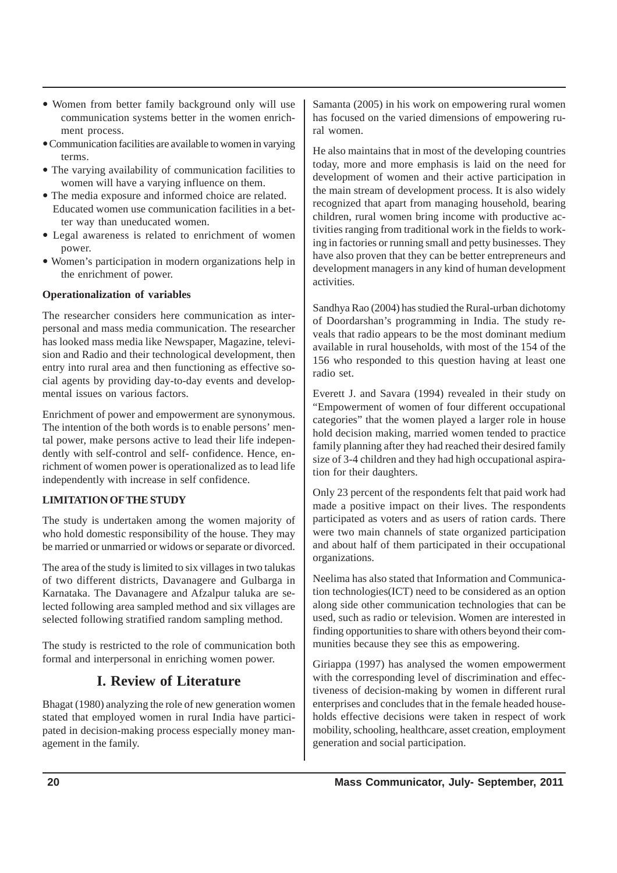- Women from better family background only will use communication systems better in the women enrichment process.
- Communication facilities are available to women in varying terms
- The varying availability of communication facilities to women will have a varying influence on them.
- The media exposure and informed choice are related. Educated women use communication facilities in a better way than uneducated women.
- Legal awareness is related to enrichment of women power.
- Women's participation in modern organizations help in the enrichment of power.

## **Operationalization of variables**

The researcher considers here communication as interpersonal and mass media communication. The researcher has looked mass media like Newspaper, Magazine, television and Radio and their technological development, then entry into rural area and then functioning as effective social agents by providing day-to-day events and developmental issues on various factors.

Enrichment of power and empowerment are synonymous. The intention of the both words is to enable persons' mental power, make persons active to lead their life independently with self-control and self- confidence. Hence, enrichment of women power is operationalized as to lead life independently with increase in self confidence.

## **LIMITATION OF THE STUDY**

The study is undertaken among the women majority of who hold domestic responsibility of the house. They may be married or unmarried or widows or separate or divorced.

The area of the study is limited to six villages in two talukas of two different districts, Davanagere and Gulbarga in Karnataka. The Davanagere and Afzalpur taluka are selected following area sampled method and six villages are selected following stratified random sampling method.

The study is restricted to the role of communication both formal and interpersonal in enriching women power.

## **I. Review of Literature**

Bhagat (1980) analyzing the role of new generation women stated that employed women in rural India have participated in decision-making process especially money management in the family.

Samanta (2005) in his work on empowering rural women has focused on the varied dimensions of empowering rural women.

He also maintains that in most of the developing countries today, more and more emphasis is laid on the need for development of women and their active participation in the main stream of development process. It is also widely recognized that apart from managing household, bearing children, rural women bring income with productive activities ranging from traditional work in the fields to working in factories or running small and petty businesses. They have also proven that they can be better entrepreneurs and development managers in any kind of human development activities.

Sandhya Rao (2004) has studied the Rural-urban dichotomy of Doordarshan's programming in India. The study reveals that radio appears to be the most dominant medium available in rural households, with most of the 154 of the 156 who responded to this question having at least one radio set.

Everett J. and Savara (1994) revealed in their study on "Empowerment of women of four different occupational categories" that the women played a larger role in house hold decision making, married women tended to practice family planning after they had reached their desired family size of 3-4 children and they had high occupational aspiration for their daughters.

Only 23 percent of the respondents felt that paid work had made a positive impact on their lives. The respondents participated as voters and as users of ration cards. There were two main channels of state organized participation and about half of them participated in their occupational organizations.

Neelima has also stated that Information and Communication technologies(ICT) need to be considered as an option along side other communication technologies that can be used, such as radio or television. Women are interested in finding opportunities to share with others beyond their communities because they see this as empowering.

Giriappa (1997) has analysed the women empowerment with the corresponding level of discrimination and effectiveness of decision-making by women in different rural enterprises and concludes that in the female headed households effective decisions were taken in respect of work mobility, schooling, healthcare, asset creation, employment generation and social participation.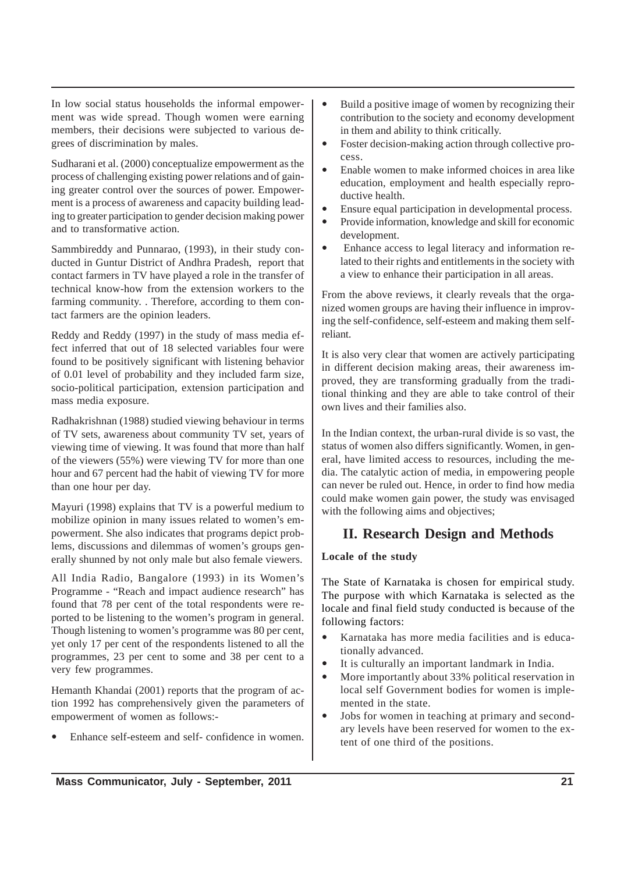In low social status households the informal empowerment was wide spread. Though women were earning members, their decisions were subjected to various degrees of discrimination by males.

Sudharani et al. (2000) conceptualize empowerment as the process of challenging existing power relations and of gaining greater control over the sources of power. Empowerment is a process of awareness and capacity building leading to greater participation to gender decision making power and to transformative action.

Sammbireddy and Punnarao, (1993), in their study conducted in Guntur District of Andhra Pradesh, report that contact farmers in TV have played a role in the transfer of technical know-how from the extension workers to the farming community. . Therefore, according to them contact farmers are the opinion leaders.

Reddy and Reddy (1997) in the study of mass media effect inferred that out of 18 selected variables four were found to be positively significant with listening behavior of 0.01 level of probability and they included farm size, socio-political participation, extension participation and mass media exposure.

Radhakrishnan (1988) studied viewing behaviour in terms of TV sets, awareness about community TV set, years of viewing time of viewing. It was found that more than half of the viewers (55%) were viewing TV for more than one hour and 67 percent had the habit of viewing TV for more than one hour per day.

Mayuri (1998) explains that TV is a powerful medium to mobilize opinion in many issues related to women's empowerment. She also indicates that programs depict problems, discussions and dilemmas of women's groups generally shunned by not only male but also female viewers.

All India Radio, Bangalore (1993) in its Women's Programme - "Reach and impact audience research" has found that 78 per cent of the total respondents were reported to be listening to the women's program in general. Though listening to women's programme was 80 per cent, yet only 17 per cent of the respondents listened to all the programmes, 23 per cent to some and 38 per cent to a very few programmes.

Hemanth Khandai (2001) reports that the program of action 1992 has comprehensively given the parameters of empowerment of women as follows:-

Enhance self-esteem and self- confidence in women.

- Build a positive image of women by recognizing their contribution to the society and economy development in them and ability to think critically.
- Foster decision-making action through collective process.
- Enable women to make informed choices in area like education, employment and health especially reproductive health.
- Ensure equal participation in developmental process.
- Provide information, knowledge and skill for economic development.
- Enhance access to legal literacy and information related to their rights and entitlements in the society with a view to enhance their participation in all areas.

From the above reviews, it clearly reveals that the organized women groups are having their influence in improving the self-confidence, self-esteem and making them selfreliant.

It is also very clear that women are actively participating in different decision making areas, their awareness improved, they are transforming gradually from the traditional thinking and they are able to take control of their own lives and their families also.

In the Indian context, the urban-rural divide is so vast, the status of women also differs significantly. Women, in general, have limited access to resources, including the media. The catalytic action of media, in empowering people can never be ruled out. Hence, in order to find how media could make women gain power, the study was envisaged with the following aims and objectives;

# **II. Research Design and Methods**

## **Locale of the study**

The State of Karnataka is chosen for empirical study. The purpose with which Karnataka is selected as the locale and final field study conducted is because of the following factors:

- Karnataka has more media facilities and is educationally advanced.
- It is culturally an important landmark in India.
- More importantly about 33% political reservation in local self Government bodies for women is implemented in the state.
- Jobs for women in teaching at primary and secondary levels have been reserved for women to the extent of one third of the positions.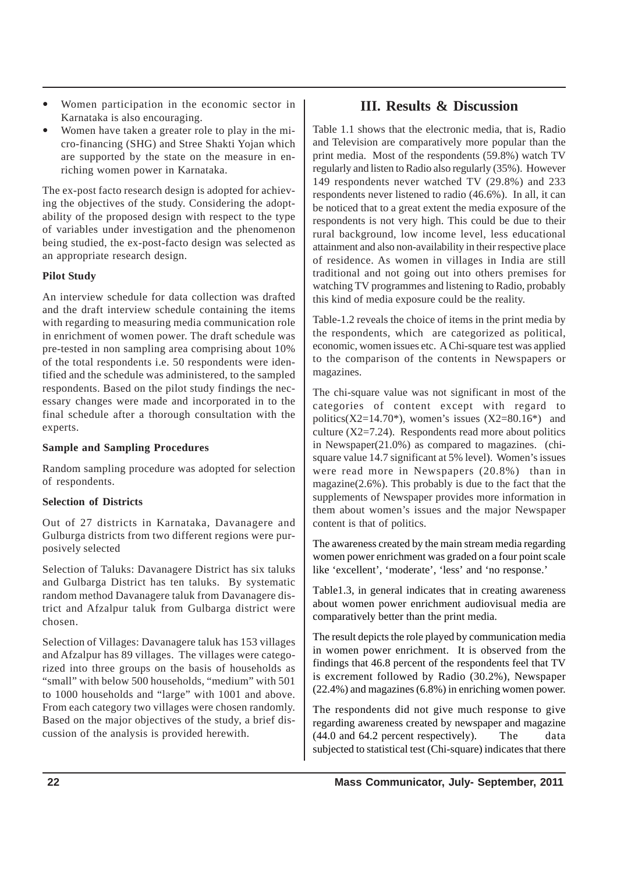- Women participation in the economic sector in Karnataka is also encouraging.
- Women have taken a greater role to play in the micro-financing (SHG) and Stree Shakti Yojan which are supported by the state on the measure in enriching women power in Karnataka.

The ex-post facto research design is adopted for achieving the objectives of the study. Considering the adoptability of the proposed design with respect to the type of variables under investigation and the phenomenon being studied, the ex-post-facto design was selected as an appropriate research design.

## **Pilot Study**

An interview schedule for data collection was drafted and the draft interview schedule containing the items with regarding to measuring media communication role in enrichment of women power. The draft schedule was pre-tested in non sampling area comprising about 10% of the total respondents i.e. 50 respondents were identified and the schedule was administered, to the sampled respondents. Based on the pilot study findings the necessary changes were made and incorporated in to the final schedule after a thorough consultation with the experts.

## **Sample and Sampling Procedures**

Random sampling procedure was adopted for selection of respondents.

## **Selection of Districts**

Out of 27 districts in Karnataka, Davanagere and Gulburga districts from two different regions were purposively selected

Selection of Taluks: Davanagere District has six taluks and Gulbarga District has ten taluks. By systematic random method Davanagere taluk from Davanagere district and Afzalpur taluk from Gulbarga district were chosen.

Selection of Villages: Davanagere taluk has 153 villages and Afzalpur has 89 villages. The villages were categorized into three groups on the basis of households as "small" with below 500 households, "medium" with 501 to 1000 households and "large" with 1001 and above. From each category two villages were chosen randomly. Based on the major objectives of the study, a brief discussion of the analysis is provided herewith.

## **III. Results & Discussion**

Table 1.1 shows that the electronic media, that is, Radio and Television are comparatively more popular than the print media. Most of the respondents (59.8%) watch TV regularly and listen to Radio also regularly (35%). However 149 respondents never watched TV (29.8%) and 233 respondents never listened to radio (46.6%). In all, it can be noticed that to a great extent the media exposure of the respondents is not very high. This could be due to their rural background, low income level, less educational attainment and also non-availability in their respective place of residence. As women in villages in India are still traditional and not going out into others premises for watching TV programmes and listening to Radio, probably this kind of media exposure could be the reality.

Table-1.2 reveals the choice of items in the print media by the respondents, which are categorized as political, economic, women issues etc. A Chi-square test was applied to the comparison of the contents in Newspapers or magazines.

The chi-square value was not significant in most of the categories of content except with regard to politics( $X2=14.70^*$ ), women's issues ( $X2=80.16^*$ ) and culture (X2=7.24). Respondents read more about politics in Newspaper(21.0%) as compared to magazines. (chisquare value 14.7 significant at 5% level). Women's issues were read more in Newspapers (20.8%) than in magazine(2.6%). This probably is due to the fact that the supplements of Newspaper provides more information in them about women's issues and the major Newspaper content is that of politics.

The awareness created by the main stream media regarding women power enrichment was graded on a four point scale like 'excellent', 'moderate', 'less' and 'no response.'

Table1.3, in general indicates that in creating awareness about women power enrichment audiovisual media are comparatively better than the print media.

The result depicts the role played by communication media in women power enrichment. It is observed from the findings that 46.8 percent of the respondents feel that TV is excrement followed by Radio (30.2%), Newspaper (22.4%) and magazines (6.8%) in enriching women power.

The respondents did not give much response to give regarding awareness created by newspaper and magazine (44.0 and 64.2 percent respectively). The data subjected to statistical test (Chi-square) indicates that there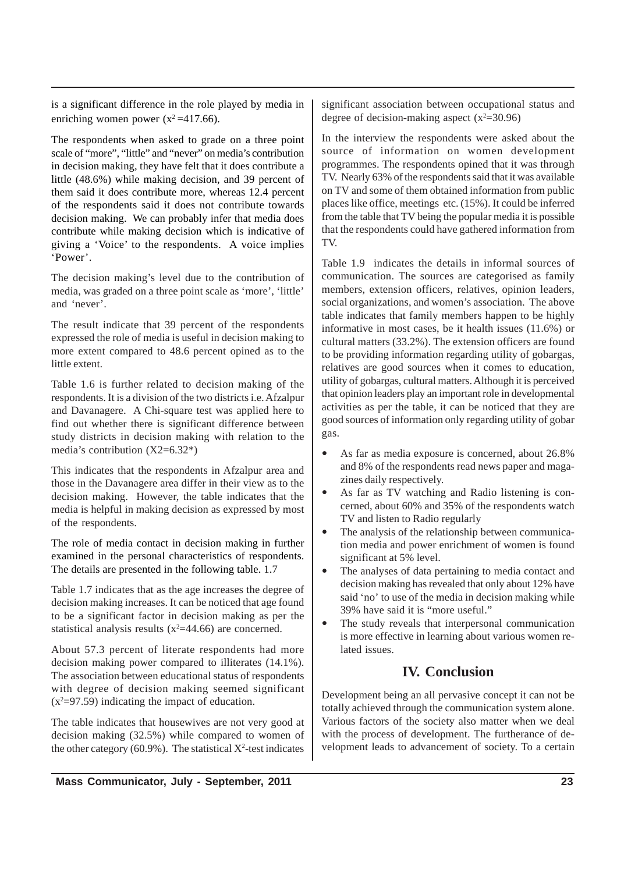is a significant difference in the role played by media in enriching women power  $(x^2=417.66)$ .

The respondents when asked to grade on a three point scale of "more", "little" and "never" on media's contribution in decision making, they have felt that it does contribute a little (48.6%) while making decision, and 39 percent of them said it does contribute more, whereas 12.4 percent of the respondents said it does not contribute towards decision making. We can probably infer that media does contribute while making decision which is indicative of giving a 'Voice' to the respondents. A voice implies 'Power'.

The decision making's level due to the contribution of media, was graded on a three point scale as 'more', 'little' and 'never'.

The result indicate that 39 percent of the respondents expressed the role of media is useful in decision making to more extent compared to 48.6 percent opined as to the little extent.

Table 1.6 is further related to decision making of the respondents. It is a division of the two districts i.e. Afzalpur and Davanagere. A Chi-square test was applied here to find out whether there is significant difference between study districts in decision making with relation to the media's contribution (X2=6.32\*)

This indicates that the respondents in Afzalpur area and those in the Davanagere area differ in their view as to the decision making. However, the table indicates that the media is helpful in making decision as expressed by most of the respondents.

The role of media contact in decision making in further examined in the personal characteristics of respondents. The details are presented in the following table. 1.7

Table 1.7 indicates that as the age increases the degree of decision making increases. It can be noticed that age found to be a significant factor in decision making as per the statistical analysis results  $(x^2=44.66)$  are concerned.

About 57.3 percent of literate respondents had more decision making power compared to illiterates (14.1%). The association between educational status of respondents with degree of decision making seemed significant  $(x^2=97.59)$  indicating the impact of education.

The table indicates that housewives are not very good at decision making (32.5%) while compared to women of the other category (60.9%). The statistical  $X^2$ -test indicates

significant association between occupational status and degree of decision-making aspect  $(x^2=30.96)$ 

In the interview the respondents were asked about the source of information on women development programmes. The respondents opined that it was through TV. Nearly 63% of the respondents said that it was available on TV and some of them obtained information from public places like office, meetings etc. (15%). It could be inferred from the table that TV being the popular media it is possible that the respondents could have gathered information from TV.

Table 1.9 indicates the details in informal sources of communication. The sources are categorised as family members, extension officers, relatives, opinion leaders, social organizations, and women's association. The above table indicates that family members happen to be highly informative in most cases, be it health issues (11.6%) or cultural matters (33.2%). The extension officers are found to be providing information regarding utility of gobargas, relatives are good sources when it comes to education, utility of gobargas, cultural matters. Although it is perceived that opinion leaders play an important role in developmental activities as per the table, it can be noticed that they are good sources of information only regarding utility of gobar gas.

- As far as media exposure is concerned, about 26.8% and 8% of the respondents read news paper and magazines daily respectively.
- As far as TV watching and Radio listening is concerned, about 60% and 35% of the respondents watch TV and listen to Radio regularly
- The analysis of the relationship between communication media and power enrichment of women is found significant at 5% level.
- The analyses of data pertaining to media contact and decision making has revealed that only about 12% have said 'no' to use of the media in decision making while 39% have said it is "more useful."
- The study reveals that interpersonal communication is more effective in learning about various women related issues.

# **IV. Conclusion**

Development being an all pervasive concept it can not be totally achieved through the communication system alone. Various factors of the society also matter when we deal with the process of development. The furtherance of development leads to advancement of society. To a certain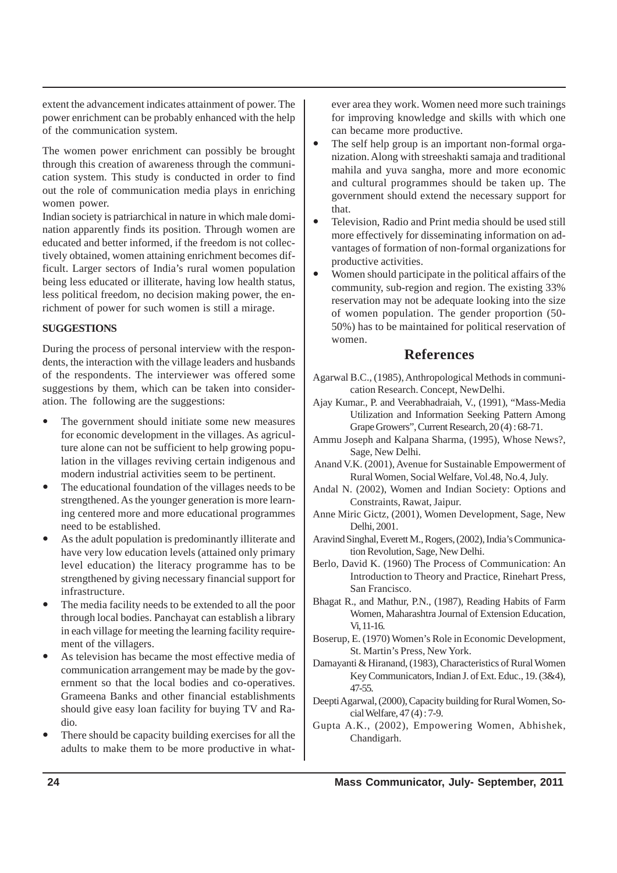extent the advancement indicates attainment of power. The power enrichment can be probably enhanced with the help of the communication system.

The women power enrichment can possibly be brought through this creation of awareness through the communication system. This study is conducted in order to find out the role of communication media plays in enriching women power.

Indian society is patriarchical in nature in which male domination apparently finds its position. Through women are educated and better informed, if the freedom is not collectively obtained, women attaining enrichment becomes difficult. Larger sectors of India's rural women population being less educated or illiterate, having low health status, less political freedom, no decision making power, the enrichment of power for such women is still a mirage.

## **SUGGESTIONS**

During the process of personal interview with the respondents, the interaction with the village leaders and husbands of the respondents. The interviewer was offered some suggestions by them, which can be taken into consideration. The following are the suggestions:

- The government should initiate some new measures for economic development in the villages. As agriculture alone can not be sufficient to help growing population in the villages reviving certain indigenous and modern industrial activities seem to be pertinent.
- The educational foundation of the villages needs to be strengthened. As the younger generation is more learning centered more and more educational programmes need to be established.
- As the adult population is predominantly illiterate and have very low education levels (attained only primary level education) the literacy programme has to be strengthened by giving necessary financial support for infrastructure.
- The media facility needs to be extended to all the poor through local bodies. Panchayat can establish a library in each village for meeting the learning facility requirement of the villagers.
- As television has became the most effective media of communication arrangement may be made by the government so that the local bodies and co-operatives. Grameena Banks and other financial establishments should give easy loan facility for buying TV and Radio.
- There should be capacity building exercises for all the adults to make them to be more productive in what-

ever area they work. Women need more such trainings for improving knowledge and skills with which one can became more productive.

- The self help group is an important non-formal organization. Along with streeshakti samaja and traditional mahila and yuva sangha, more and more economic and cultural programmes should be taken up. The government should extend the necessary support for that.
- Television, Radio and Print media should be used still more effectively for disseminating information on advantages of formation of non-formal organizations for productive activities.
- Women should participate in the political affairs of the community, sub-region and region. The existing 33% reservation may not be adequate looking into the size of women population. The gender proportion (50- 50%) has to be maintained for political reservation of women.

## **References**

- Agarwal B.C., (1985), Anthropological Methods in communication Research. Concept, NewDelhi.
- Ajay Kumar., P. and Veerabhadraiah, V., (1991), "Mass-Media Utilization and Information Seeking Pattern Among Grape Growers", Current Research, 20 (4) : 68-71.
- Ammu Joseph and Kalpana Sharma, (1995), Whose News?, Sage, New Delhi.
- Anand V.K. (2001), Avenue for Sustainable Empowerment of Rural Women, Social Welfare, Vol.48, No.4, July.
- Andal N. (2002), Women and Indian Society: Options and Constraints, Rawat, Jaipur.
- Anne Miric Gictz, (2001), Women Development, Sage, New Delhi, 2001.
- Aravind Singhal, Everett M., Rogers, (2002), India's Communication Revolution, Sage, New Delhi.
- Berlo, David K. (1960) The Process of Communication: An Introduction to Theory and Practice, Rinehart Press, San Francisco.
- Bhagat R., and Mathur, P.N., (1987), Reading Habits of Farm Women, Maharashtra Journal of Extension Education, Vi, 11-16.
- Boserup, E. (1970) Women's Role in Economic Development, St. Martin's Press, New York.
- Damayanti & Hiranand, (1983), Characteristics of Rural Women Key Communicators, Indian J. of Ext. Educ., 19. (3&4), 47-55.
- Deepti Agarwal, (2000), Capacity building for Rural Women, Social Welfare, 47 (4) : 7-9.
- Gupta A.K., (2002), Empowering Women, Abhishek, Chandigarh.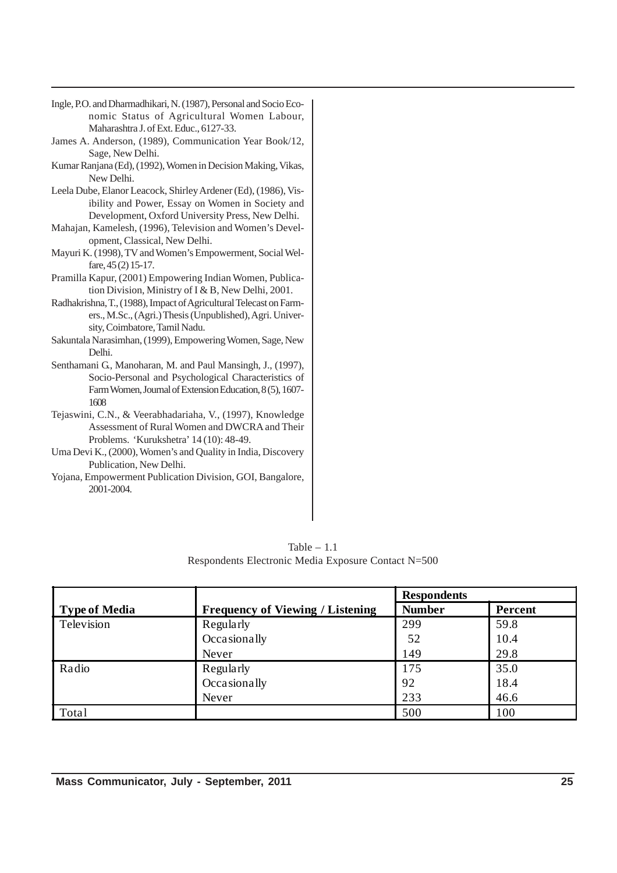- Ingle, P.O. and Dharmadhikari, N. (1987), Personal and Socio Economic Status of Agricultural Women Labour, Maharashtra J. of Ext. Educ., 6127-33.
- James A. Anderson, (1989), Communication Year Book/12, Sage, New Delhi.
- Kumar Ranjana (Ed), (1992), Women in Decision Making, Vikas, New Delhi.
- Leela Dube, Elanor Leacock, Shirley Ardener (Ed), (1986), Visibility and Power, Essay on Women in Society and Development, Oxford University Press, New Delhi.
- Mahajan, Kamelesh, (1996), Television and Women's Development, Classical, New Delhi.
- Mayuri K. (1998), TV and Women's Empowerment, Social Welfare, 45 (2) 15-17.
- Pramilla Kapur, (2001) Empowering Indian Women, Publication Division, Ministry of I & B, New Delhi, 2001.
- Radhakrishna, T., (1988), Impact of Agricultural Telecast on Farmers., M.Sc., (Agri.) Thesis (Unpublished), Agri. University, Coimbatore, Tamil Nadu.
- Sakuntala Narasimhan, (1999), Empowering Women, Sage, New Delhi.
- Senthamani G., Manoharan, M. and Paul Mansingh, J., (1997), Socio-Personal and Psychological Characteristics of Farm Women, Journal of Extension Education, 8 (5), 1607- 1608
- Tejaswini, C.N., & Veerabhadariaha, V., (1997), Knowledge Assessment of Rural Women and DWCRA and Their Problems. 'Kurukshetra' 14 (10): 48-49.
- Uma Devi K., (2000), Women's and Quality in India, Discovery Publication, New Delhi.
- Yojana, Empowerment Publication Division, GOI, Bangalore, 2001-2004.

|                      |                                         | <b>Respondents</b> |         |
|----------------------|-----------------------------------------|--------------------|---------|
| <b>Type of Media</b> | <b>Frequency of Viewing / Listening</b> | <b>Number</b>      | Percent |
| Television           | Regularly                               | 299                | 59.8    |
|                      | Occasionally                            | 52                 | 10.4    |
|                      | Never                                   | 149                | 29.8    |
| Radio                | Regularly                               | 175                | 35.0    |
|                      | Occasionally                            | 92                 | 18.4    |
|                      | Never                                   | 233                | 46.6    |
| Total                |                                         | 500                | 100     |

Table  $-1.1$ Respondents Electronic Media Exposure Contact N=500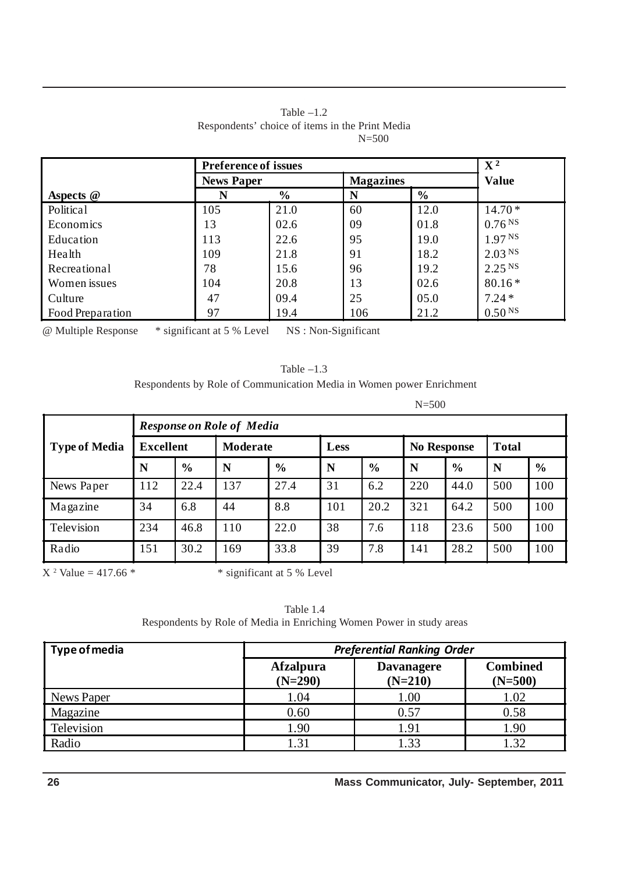|                  | <b>Preference of issues</b> |               | $\mathbf{X}^2$   |               |                    |
|------------------|-----------------------------|---------------|------------------|---------------|--------------------|
|                  | <b>News Paper</b>           |               | <b>Magazines</b> |               | <b>Value</b>       |
| Aspects $@$      | N                           | $\frac{6}{6}$ | N                | $\frac{6}{6}$ |                    |
| Political        | 105                         | 21.0          | 60               | 12.0          | $14.70*$           |
| Economics        | 13                          | 02.6          | 09               | 01.8          | 0.76 <sup>NS</sup> |
| Education        | 113                         | 22.6          | 95               | 19.0          | 1.97 <sup>NS</sup> |
| Health           | 109                         | 21.8          | 91               | 18.2          | 2.03 <sup>NS</sup> |
| Recreational     | 78                          | 15.6          | 96               | 19.2          | 2.25 <sup>NS</sup> |
| Women issues     | 104                         | 20.8          | 13               | 02.6          | $80.16*$           |
| Culture          | 47                          | 09.4          | 25               | 05.0          | $7.24*$            |
| Food Preparation | 97                          | 19.4          | 106              | 21.2          | 0.50 <sup>NS</sup> |

#### Table  $-1.2$ Respondents' choice of items in the Print Media N=500

@ Multiple Response \* significant at 5 % Level NS : Non-Significant

| Table $-1.3$                                                         |
|----------------------------------------------------------------------|
| Respondents by Role of Communication Media in Women power Enrichment |

N=500

|                      |                  | <b>Response on Role of Media</b> |          |               |      |               |                    |               |              |               |  |  |
|----------------------|------------------|----------------------------------|----------|---------------|------|---------------|--------------------|---------------|--------------|---------------|--|--|
| <b>Type of Media</b> | <b>Excellent</b> |                                  | Moderate |               | Less |               | <b>No Response</b> |               | <b>Total</b> |               |  |  |
|                      | N                | $\frac{6}{6}$                    | N        | $\frac{6}{6}$ | N    | $\frac{0}{0}$ | N                  | $\frac{6}{6}$ | N            | $\frac{6}{6}$ |  |  |
| News Paper           | 112              | 22.4                             | 137      | 27.4          | 31   | 6.2           | 220                | 44.0          | 500          | 100           |  |  |
| Magazine             | 34               | 6.8                              | 44       | 8.8           | 101  | 20.2          | 321                | 64.2          | 500          | 100           |  |  |
| Television           | 234              | 46.8                             | 110      | 22.0          | 38   | 7.6           | 118                | 23.6          | 500          | 100           |  |  |
| Radio                | 151              | 30.2                             | .69      | 33.8          | 39   | 7.8           | 141                | 28.2          | 500          | 100           |  |  |

 $X^2$  Value = 417.66  $*$ 

 $\overline{\text{``significant at 5\% Level}}$ 

Table 1.4 Respondents by Role of Media in Enriching Women Power in study areas

| Type of media | <b>Preferential Ranking Order</b>                               |      |                              |  |  |  |  |
|---------------|-----------------------------------------------------------------|------|------------------------------|--|--|--|--|
|               | <b>Afzalpura</b><br><b>Davanagere</b><br>$(N=290)$<br>$(N=210)$ |      | <b>Combined</b><br>$(N=500)$ |  |  |  |  |
| News Paper    | 1.04                                                            | 1.00 | 1.02                         |  |  |  |  |
| Magazine      | 0.60                                                            | 0.57 | 0.58                         |  |  |  |  |
| Television    | 1.90                                                            | 1.91 | 1.90                         |  |  |  |  |
| Radio         | 1.31                                                            | 1.33 | 1.32                         |  |  |  |  |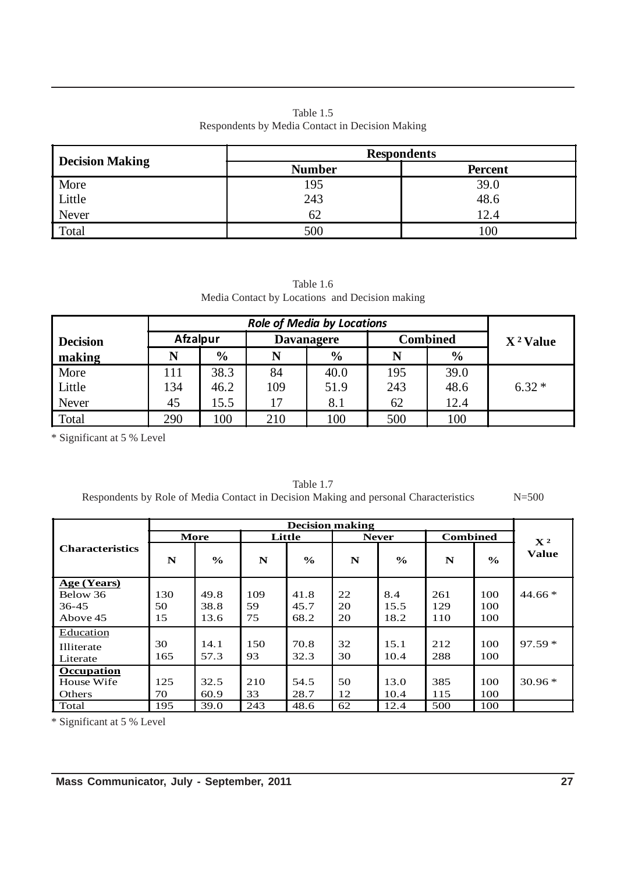| Table 1.5                                       |
|-------------------------------------------------|
| Respondents by Media Contact in Decision Making |

|                        | <b>Respondents</b> |                |  |  |  |
|------------------------|--------------------|----------------|--|--|--|
| <b>Decision Making</b> | <b>Number</b>      | <b>Percent</b> |  |  |  |
|                        | 195                | 39.0           |  |  |  |
| More<br>Little         | 243                | 48.6           |  |  |  |
| Never                  | 62                 | 12.4           |  |  |  |
| Total                  | 500                | 100            |  |  |  |

Table 1.6 Media Contact by Locations and Decision making

| <b>Decision</b> | <b>Afzalpur</b> |               | <b>Davanagere</b> | <b>Combined</b> | $X^2$ Value |               |         |
|-----------------|-----------------|---------------|-------------------|-----------------|-------------|---------------|---------|
| making          | N               | $\frac{6}{6}$ | N                 | $\frac{6}{9}$   | N           | $\frac{6}{9}$ |         |
| More            | 111             | 38.3          | 84                | 40.0            | 195         | 39.0          |         |
| Little          | 134             | 46.2          | 109               | 51.9            | 243         | 48.6          | $6.32*$ |
| Never           | 45              | 15.5          | 17                | 8.1             | 62          | 12.4          |         |
| Total           | 290             | 100           | 210               | 100             | 500         | 100           |         |

\* Significant at 5 % Level

|                        | <b>Decision making</b> |               |     |               |    |               |     |                 |                |
|------------------------|------------------------|---------------|-----|---------------|----|---------------|-----|-----------------|----------------|
|                        |                        | More          |     | Little        |    | <b>Never</b>  |     | <b>Combined</b> | $\mathbf{X}^2$ |
| <b>Characteristics</b> | N                      | $\frac{6}{6}$ | N   | $\frac{6}{6}$ | N  | $\frac{6}{9}$ | N   | $\frac{6}{6}$   | <b>Value</b>   |
| <b>Age (Years)</b>     |                        |               |     |               |    |               |     |                 |                |
| Below 36               | 130                    | 49.8          | 109 | 41.8          | 22 | 8.4           | 261 | 100             | $44.66*$       |
| 36-45                  | 50                     | 38.8          | 59  | 45.7          | 20 | 15.5          | 129 | 100             |                |
| Above 45               | 15                     | 13.6          | 75  | 68.2          | 20 | 18.2          | 110 | 100             |                |
| Education              |                        |               |     |               |    |               |     |                 |                |
| Illiterate             | 30                     | 14.1          | 150 | 70.8          | 32 | 15.1          | 212 | 100             | $97.59*$       |
| Literate               | 165                    | 57.3          | 93  | 32.3          | 30 | 10.4          | 288 | 100             |                |
| Occupation             |                        |               |     |               |    |               |     |                 |                |
| House Wife             | 125                    | 32.5          | 210 | 54.5          | 50 | 13.0          | 385 | 100             | $30.96*$       |
| <b>Others</b>          | 70                     | 60.9          | 33  | 28.7          | 12 | 10.4          | 115 | 100             |                |
| Total                  | 195                    | 39.0          | 243 | 48.6          | 62 | 12.4          | 500 | 100             |                |

Table 1.7 Respondents by Role of Media Contact in Decision Making and personal Characteristics N=500

\* Significant at 5 % Level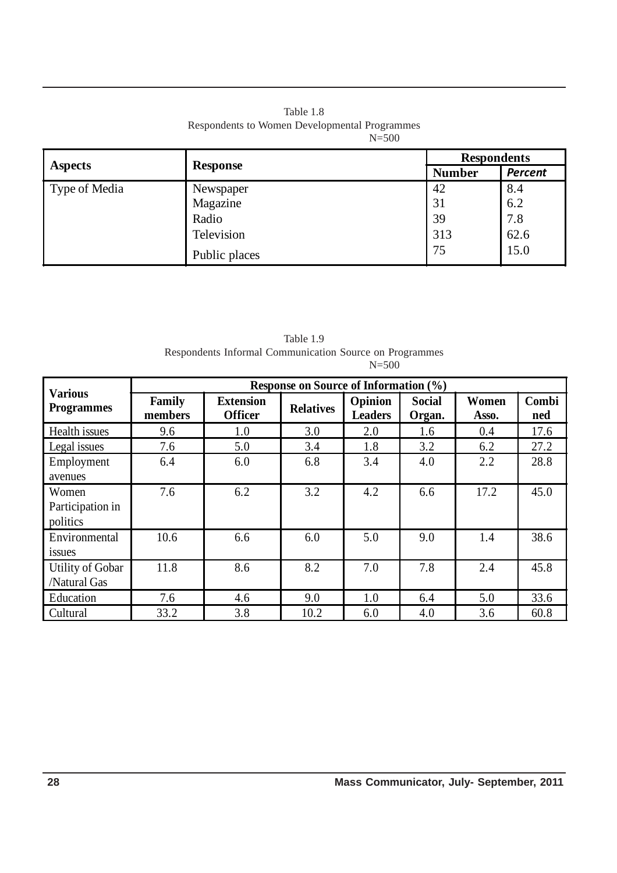| Table 1.8                                     |
|-----------------------------------------------|
| Respondents to Women Developmental Programmes |
| $N = 500$                                     |

|                | <b>Response</b> | <b>Respondents</b> |                |  |
|----------------|-----------------|--------------------|----------------|--|
| <b>Aspects</b> |                 | <b>Number</b>      | <b>Percent</b> |  |
| Type of Media  | Newspaper       | 42                 | 8.4            |  |
|                | Magazine        | 31                 | 6.2            |  |
|                | Radio           | 39                 | 7.8            |  |
|                | Television      | 313                | 62.6           |  |
|                | Public places   | 75                 | 15.0           |  |

| Table 1.9                                               |           |
|---------------------------------------------------------|-----------|
| Respondents Informal Communication Source on Programmes |           |
|                                                         | $N = 500$ |
|                                                         |           |

|                                       | <b>Response on Source of Information (%)</b> |                                    |                  |                           |                         |                |              |
|---------------------------------------|----------------------------------------------|------------------------------------|------------------|---------------------------|-------------------------|----------------|--------------|
| <b>Various</b><br><b>Programmes</b>   | Family<br>members                            | <b>Extension</b><br><b>Officer</b> | <b>Relatives</b> | Opinion<br><b>Leaders</b> | <b>Social</b><br>Organ. | Women<br>Asso. | Combi<br>ned |
| Health issues                         | 9.6                                          | 1.0                                | 3.0              | 2.0                       | 1.6                     | 0.4            | 17.6         |
| Legal issues                          | 7.6                                          | 5.0                                | 3.4              | 1.8                       | 3.2                     | 6.2            | 27.2         |
| Employment<br>avenues                 | 6.4                                          | 6.0                                | 6.8              | 3.4                       | 4.0                     | 2.2            | 28.8         |
| Women<br>Participation in<br>politics | 7.6                                          | 6.2                                | 3.2              | 4.2                       | 6.6                     | 17.2           | 45.0         |
| Environmental<br>1SSU <sub>es</sub>   | 10.6                                         | 6.6                                | 6.0              | 5.0                       | 9.0                     | 1.4            | 38.6         |
| Utility of Gobar<br>/Natural Gas      | 11.8                                         | 8.6                                | 8.2              | 7.0                       | 7.8                     | 2.4            | 45.8         |
| Education                             | 7.6                                          | 4.6                                | 9.0              | 1.0                       | 6.4                     | 5.0            | 33.6         |
| Cultural                              | 33.2                                         | 3.8                                | 10.2             | 6.0                       | 4.0                     | 3.6            | 60.8         |

 $\hat{\mathcal{A}}$ 

 $\hat{\boldsymbol{\beta}}$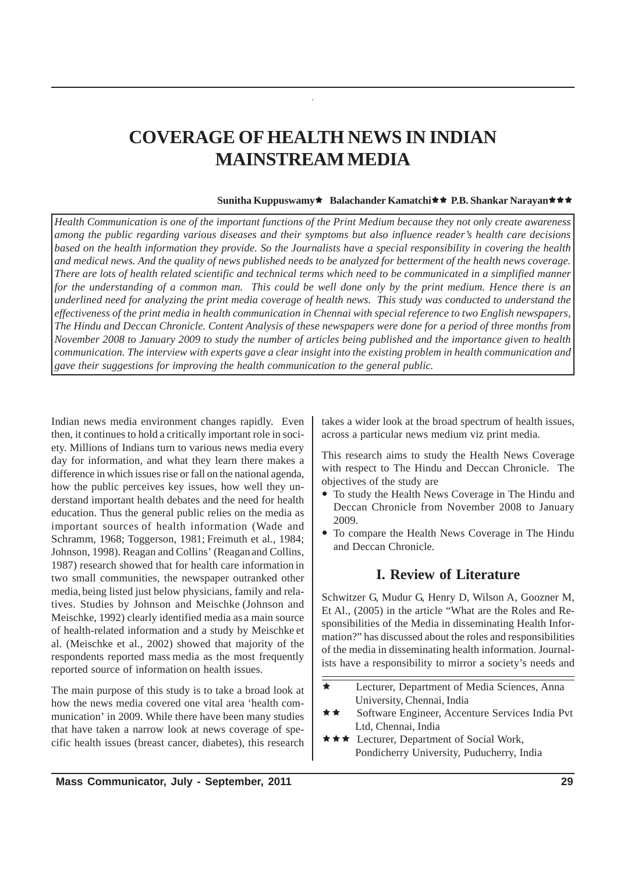# **COVERAGE OF HEALTH NEWS IN INDIAN MAINSTREAM MEDIA**

#### **Sunitha Kuppuswamy**  $\star$  **Balachander Kamatchi** $\star$  **P.B. Shankar Narayan**  $\star$   $\star$

*Health Communication is one of the important functions of the Print Medium because they not only create awareness among the public regarding various diseases and their symptoms but also influence reader's health care decisions based on the health information they provide. So the Journalists have a special responsibility in covering the health and medical news. And the quality of news published needs to be analyzed for betterment of the health news coverage. There are lots of health related scientific and technical terms which need to be communicated in a simplified manner for the understanding of a common man. This could be well done only by the print medium. Hence there is an underlined need for analyzing the print media coverage of health news. This study was conducted to understand the effectiveness of the print media in health communication in Chennai with special reference to two English newspapers, The Hindu and Deccan Chronicle. Content Analysis of these newspapers were done for a period of three months from November 2008 to January 2009 to study the number of articles being published and the importance given to health communication. The interview with experts gave a clear insight into the existing problem in health communication and gave their suggestions for improving the health communication to the general public.*

Indian news media environment changes rapidly. Even then, it continues to hold a critically important role in society. Millions of Indians turn to various news media every day for information, and what they learn there makes a difference in which issues rise or fall on the national agenda, how the public perceives key issues, how well they understand important health debates and the need for health education. Thus the general public relies on the media as important sources of health information (Wade and Schramm, 1968; Toggerson, 1981; Freimuth et al., 1984; Johnson, 1998). Reagan and Collins' (Reaganand Collins, 1987) research showed that for health care information in two small communities, the newspaper outranked other media, being listed just below physicians, family and relatives. Studies by Johnson and Meischke (Johnson and Meischke, 1992) clearly identified media as a main source of health-related information and a study by Meischke et al. (Meischke et al., 2002) showed that majority of the respondents reported mass media as the most frequently reported source of information on health issues.

The main purpose of this study is to take a broad look at how the news media covered one vital area 'health communication' in 2009. While there have been many studies that have taken a narrow look at news coverage of specific health issues (breast cancer, diabetes), this research takes a wider look at the broad spectrum of health issues, across a particular news medium viz print media.

This research aims to study the Health News Coverage with respect to The Hindu and Deccan Chronicle. The objectives of the study are

- To study the Health News Coverage in The Hindu and Deccan Chronicle from November 2008 to January 2009.
- To compare the Health News Coverage in The Hindu and Deccan Chronicle.

## **I. Review of Literature**

Schwitzer G, Mudur G, Henry D, Wilson A, Goozner M, Et Al., (2005) in the article "What are the Roles and Responsibilities of the Media in disseminating Health Information?" has discussed about the roles and responsibilities of the media in disseminating health information. Journalists have a responsibility to mirror a society's needs and

- Lecturer, Department of Media Sciences, Anna University, Chennai, India
- Software Engineer, Accenture Services India Pvt Ltd, Chennai, India
- $\star \star \star$  Lecturer, Department of Social Work, Pondicherry University, Puducherry, India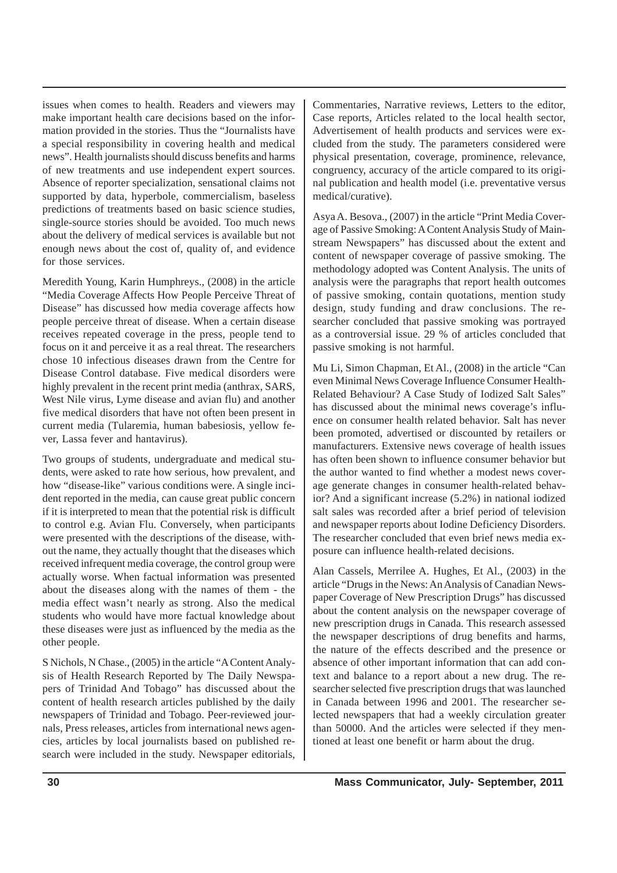issues when comes to health. Readers and viewers may make important health care decisions based on the information provided in the stories. Thus the "Journalists have a special responsibility in covering health and medical news". Health journalists should discuss benefits and harms of new treatments and use independent expert sources. Absence of reporter specialization, sensational claims not supported by data, hyperbole, commercialism, baseless predictions of treatments based on basic science studies, single-source stories should be avoided. Too much news about the delivery of medical services is available but not enough news about the cost of, quality of, and evidence for those services.

Meredith Young, Karin Humphreys., (2008) in the article "Media Coverage Affects How People Perceive Threat of Disease" has discussed how media coverage affects how people perceive threat of disease. When a certain disease receives repeated coverage in the press, people tend to focus on it and perceive it as a real threat. The researchers chose 10 infectious diseases drawn from the Centre for Disease Control database. Five medical disorders were highly prevalent in the recent print media (anthrax, SARS, West Nile virus, Lyme disease and avian flu) and another five medical disorders that have not often been present in current media (Tularemia, human babesiosis, yellow fever, Lassa fever and hantavirus).

Two groups of students, undergraduate and medical students, were asked to rate how serious, how prevalent, and how "disease-like" various conditions were. A single incident reported in the media, can cause great public concern if it is interpreted to mean that the potential risk is difficult to control e.g. Avian Flu. Conversely, when participants were presented with the descriptions of the disease, without the name, they actually thought that the diseases which received infrequent media coverage, the control group were actually worse. When factual information was presented about the diseases along with the names of them - the media effect wasn't nearly as strong. Also the medical students who would have more factual knowledge about these diseases were just as influenced by the media as the other people.

S Nichols, N Chase., (2005) in the article "A Content Analysis of Health Research Reported by The Daily Newspapers of Trinidad And Tobago" has discussed about the content of health research articles published by the daily newspapers of Trinidad and Tobago. Peer-reviewed journals, Press releases, articles from international news agencies, articles by local journalists based on published research were included in the study. Newspaper editorials, Commentaries, Narrative reviews, Letters to the editor, Case reports, Articles related to the local health sector, Advertisement of health products and services were excluded from the study. The parameters considered were physical presentation, coverage, prominence, relevance, congruency, accuracy of the article compared to its original publication and health model (i.e. preventative versus medical/curative).

Asya A. Besova., (2007) in the article "Print Media Coverage of Passive Smoking: A Content Analysis Study of Mainstream Newspapers" has discussed about the extent and content of newspaper coverage of passive smoking. The methodology adopted was Content Analysis. The units of analysis were the paragraphs that report health outcomes of passive smoking, contain quotations, mention study design, study funding and draw conclusions. The researcher concluded that passive smoking was portrayed as a controversial issue. 29 % of articles concluded that passive smoking is not harmful.

Mu Li, Simon Chapman, Et Al., (2008) in the article "Can even Minimal News Coverage Influence Consumer Health-Related Behaviour? A Case Study of Iodized Salt Sales" has discussed about the minimal news coverage's influence on consumer health related behavior. Salt has never been promoted, advertised or discounted by retailers or manufacturers. Extensive news coverage of health issues has often been shown to influence consumer behavior but the author wanted to find whether a modest news coverage generate changes in consumer health-related behavior? And a significant increase (5.2%) in national iodized salt sales was recorded after a brief period of television and newspaper reports about Iodine Deficiency Disorders. The researcher concluded that even brief news media exposure can influence health-related decisions.

Alan Cassels, Merrilee A. Hughes, Et Al., (2003) in the article "Drugs in the News: An Analysis of Canadian Newspaper Coverage of New Prescription Drugs" has discussed about the content analysis on the newspaper coverage of new prescription drugs in Canada. This research assessed the newspaper descriptions of drug benefits and harms, the nature of the effects described and the presence or absence of other important information that can add context and balance to a report about a new drug. The researcher selected five prescription drugs that was launched in Canada between 1996 and 2001. The researcher selected newspapers that had a weekly circulation greater than 50000. And the articles were selected if they mentioned at least one benefit or harm about the drug.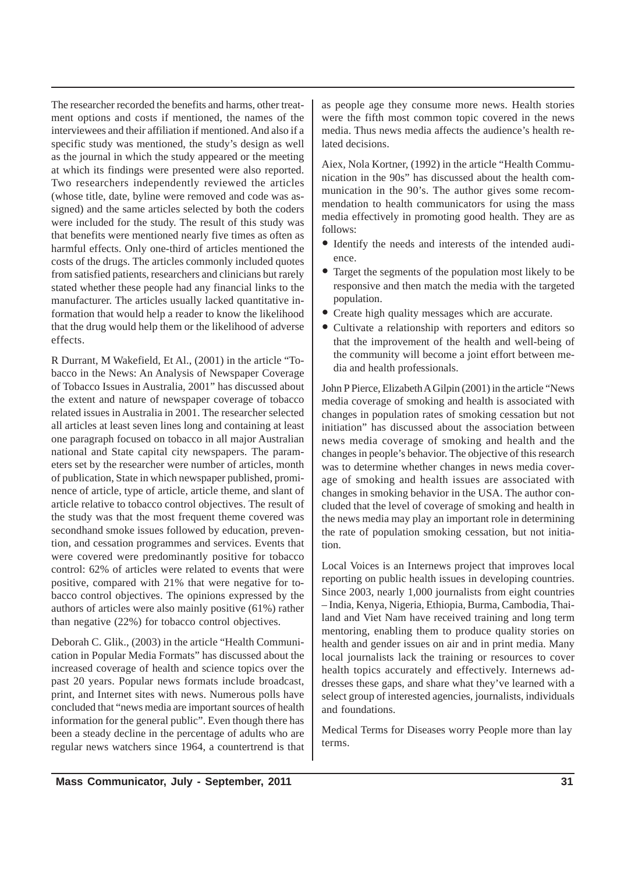The researcher recorded the benefits and harms, other treatment options and costs if mentioned, the names of the interviewees and their affiliation if mentioned. And also if a specific study was mentioned, the study's design as well as the journal in which the study appeared or the meeting at which its findings were presented were also reported. Two researchers independently reviewed the articles (whose title, date, byline were removed and code was assigned) and the same articles selected by both the coders were included for the study. The result of this study was that benefits were mentioned nearly five times as often as harmful effects. Only one-third of articles mentioned the costs of the drugs. The articles commonly included quotes from satisfied patients, researchers and clinicians but rarely stated whether these people had any financial links to the manufacturer. The articles usually lacked quantitative information that would help a reader to know the likelihood that the drug would help them or the likelihood of adverse effects.

R Durrant, M Wakefield, Et Al., (2001) in the article "Tobacco in the News: An Analysis of Newspaper Coverage of Tobacco Issues in Australia, 2001" has discussed about the extent and nature of newspaper coverage of tobacco related issues in Australia in 2001. The researcher selected all articles at least seven lines long and containing at least one paragraph focused on tobacco in all major Australian national and State capital city newspapers. The parameters set by the researcher were number of articles, month of publication, State in which newspaper published, prominence of article, type of article, article theme, and slant of article relative to tobacco control objectives. The result of the study was that the most frequent theme covered was secondhand smoke issues followed by education, prevention, and cessation programmes and services. Events that were covered were predominantly positive for tobacco control: 62% of articles were related to events that were positive, compared with 21% that were negative for tobacco control objectives. The opinions expressed by the authors of articles were also mainly positive (61%) rather than negative (22%) for tobacco control objectives.

Deborah C. Glik., (2003) in the article "Health Communication in Popular Media Formats" has discussed about the increased coverage of health and science topics over the past 20 years. Popular news formats include broadcast, print, and Internet sites with news. Numerous polls have concluded that "news media are important sources of health information for the general public". Even though there has been a steady decline in the percentage of adults who are regular news watchers since 1964, a countertrend is that as people age they consume more news. Health stories were the fifth most common topic covered in the news media. Thus news media affects the audience's health related decisions.

Aiex, Nola Kortner, (1992) in the article "Health Communication in the 90s" has discussed about the health communication in the 90's. The author gives some recommendation to health communicators for using the mass media effectively in promoting good health. They are as follows:

- Identify the needs and interests of the intended audience.
- Target the segments of the population most likely to be responsive and then match the media with the targeted population.
- Create high quality messages which are accurate.
- Cultivate a relationship with reporters and editors so that the improvement of the health and well-being of the community will become a joint effort between media and health professionals.

John P Pierce, Elizabeth A Gilpin (2001) in the article "News media coverage of smoking and health is associated with changes in population rates of smoking cessation but not initiation" has discussed about the association between news media coverage of smoking and health and the changes in people's behavior. The objective of this research was to determine whether changes in news media coverage of smoking and health issues are associated with changes in smoking behavior in the USA. The author concluded that the level of coverage of smoking and health in the news media may play an important role in determining the rate of population smoking cessation, but not initiation.

Local Voices is an Internews project that improves local reporting on public health issues in developing countries. Since 2003, nearly 1,000 journalists from eight countries – India, Kenya, Nigeria, Ethiopia, Burma, Cambodia, Thailand and Viet Nam have received training and long term mentoring, enabling them to produce quality stories on health and gender issues on air and in print media. Many local journalists lack the training or resources to cover health topics accurately and effectively. Internews addresses these gaps, and share what they've learned with a select group of interested agencies, journalists, individuals and foundations.

Medical Terms for Diseases worry People more than lay terms.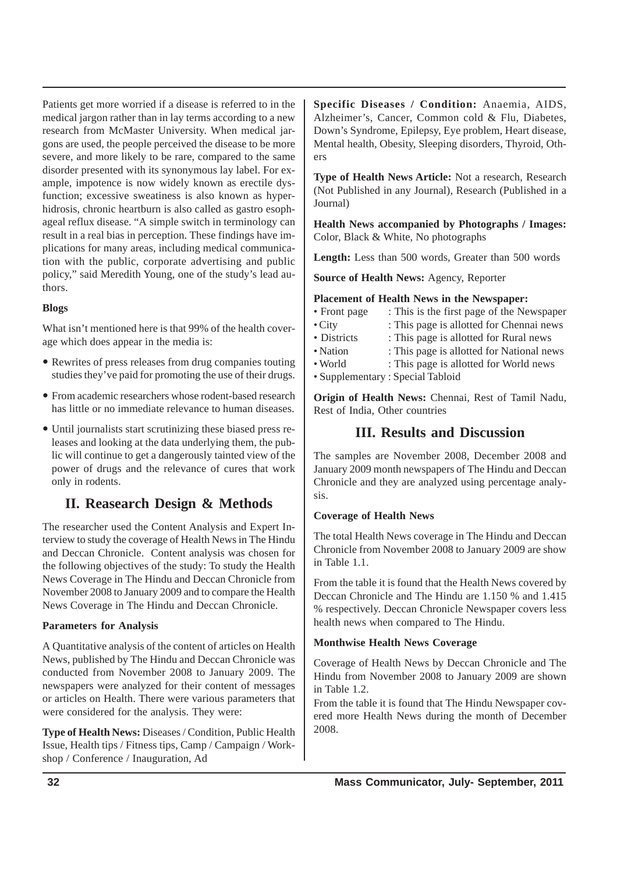Patients get more worried if a disease is referred to in the medical jargon rather than in lay terms according to a new research from McMaster University. When medical jargons are used, the people perceived the disease to be more severe, and more likely to be rare, compared to the same disorder presented with its synonymous lay label. For example, impotence is now widely known as erectile dysfunction; excessive sweatiness is also known as hyperhidrosis, chronic heartburn is also called as gastro esophageal reflux disease. "A simple switch in terminology can result in a real bias in perception. These findings have implications for many areas, including medical communication with the public, corporate advertising and public policy," said Meredith Young, one of the study's lead authors.

## **Blogs**

What isn't mentioned here is that 99% of the health coverage which does appear in the media is:

- Rewrites of press releases from drug companies touting studies they've paid for promoting the use of their drugs.
- From academic researchers whose rodent-based research has little or no immediate relevance to human diseases.
- Until journalists start scrutinizing these biased press releases and looking at the data underlying them, the public will continue to get a dangerously tainted view of the power of drugs and the relevance of cures that work only in rodents.

## **II. Reasearch Design & Methods**

The researcher used the Content Analysis and Expert Interview to study the coverage of Health News in The Hindu and Deccan Chronicle. Content analysis was chosen for the following objectives of the study: To study the Health News Coverage in The Hindu and Deccan Chronicle from November 2008 to January 2009 and to compare the Health News Coverage in The Hindu and Deccan Chronicle.

## **Parameters for Analysis**

A Quantitative analysis of the content of articles on Health News, published by The Hindu and Deccan Chronicle was conducted from November 2008 to January 2009. The newspapers were analyzed for their content of messages or articles on Health. There were various parameters that were considered for the analysis. They were:

**Type of Health News:** Diseases / Condition, Public Health Issue, Health tips / Fitness tips, Camp / Campaign / Workshop / Conference / Inauguration, Ad

**Specific Diseases / Condition:** Anaemia, AIDS, Alzheimer's, Cancer, Common cold & Flu, Diabetes, Down's Syndrome, Epilepsy, Eye problem, Heart disease, Mental health, Obesity, Sleeping disorders, Thyroid, Others

**Type of Health News Article:** Not a research, Research (Not Published in any Journal), Research (Published in a Journal)

**Health News accompanied by Photographs / Images:** Color, Black & White, No photographs

Length: Less than 500 words, Greater than 500 words

**Source of Health News:** Agency, Reporter

## **Placement of Health News in the Newspaper:**

- Front page : This is the first page of the Newspaper
- City : This page is allotted for Chennai news
- Districts : This page is allotted for Rural news
- Nation : This page is allotted for National news
- World : This page is allotted for World news
- Supplementary : Special Tabloid

**Origin of Health News:** Chennai, Rest of Tamil Nadu, Rest of India, Other countries

## **III. Results and Discussion**

The samples are November 2008, December 2008 and January 2009 month newspapers of The Hindu and Deccan Chronicle and they are analyzed using percentage analysis.

## **Coverage of Health News**

The total Health News coverage in The Hindu and Deccan Chronicle from November 2008 to January 2009 are show in Table 1.1.

From the table it is found that the Health News covered by Deccan Chronicle and The Hindu are 1.150 % and 1.415 % respectively. Deccan Chronicle Newspaper covers less health news when compared to The Hindu.

## **Monthwise Health News Coverage**

Coverage of Health News by Deccan Chronicle and The Hindu from November 2008 to January 2009 are shown in Table 1.2.

From the table it is found that The Hindu Newspaper covered more Health News during the month of December 2008.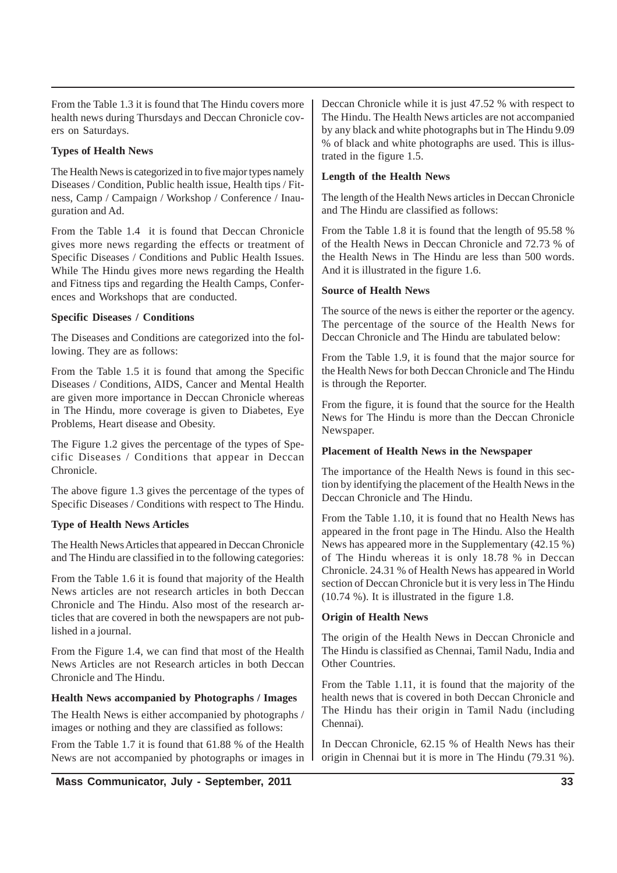From the Table 1.3 it is found that The Hindu covers more health news during Thursdays and Deccan Chronicle covers on Saturdays.

## **Types of Health News**

The Health News is categorized in to five major types namely Diseases / Condition, Public health issue, Health tips / Fitness, Camp / Campaign / Workshop / Conference / Inauguration and Ad.

From the Table 1.4 it is found that Deccan Chronicle gives more news regarding the effects or treatment of Specific Diseases / Conditions and Public Health Issues. While The Hindu gives more news regarding the Health and Fitness tips and regarding the Health Camps, Conferences and Workshops that are conducted.

## **Specific Diseases / Conditions**

The Diseases and Conditions are categorized into the following. They are as follows:

From the Table 1.5 it is found that among the Specific Diseases / Conditions, AIDS, Cancer and Mental Health are given more importance in Deccan Chronicle whereas in The Hindu, more coverage is given to Diabetes, Eye Problems, Heart disease and Obesity.

The Figure 1.2 gives the percentage of the types of Specific Diseases / Conditions that appear in Deccan Chronicle.

The above figure 1.3 gives the percentage of the types of Specific Diseases / Conditions with respect to The Hindu.

## **Type of Health News Articles**

The Health News Articles that appeared in Deccan Chronicle and The Hindu are classified in to the following categories:

From the Table 1.6 it is found that majority of the Health News articles are not research articles in both Deccan Chronicle and The Hindu. Also most of the research articles that are covered in both the newspapers are not published in a journal.

From the Figure 1.4, we can find that most of the Health News Articles are not Research articles in both Deccan Chronicle and The Hindu.

## **Health News accompanied by Photographs / Images**

The Health News is either accompanied by photographs / images or nothing and they are classified as follows:

From the Table 1.7 it is found that 61.88 % of the Health News are not accompanied by photographs or images in

## **Length of the Health News**

The length of the Health News articles in Deccan Chronicle and The Hindu are classified as follows:

From the Table 1.8 it is found that the length of 95.58 % of the Health News in Deccan Chronicle and 72.73 % of the Health News in The Hindu are less than 500 words. And it is illustrated in the figure 1.6.

## **Source of Health News**

The source of the news is either the reporter or the agency. The percentage of the source of the Health News for Deccan Chronicle and The Hindu are tabulated below:

From the Table 1.9, it is found that the major source for the Health News for both Deccan Chronicle and The Hindu is through the Reporter.

From the figure, it is found that the source for the Health News for The Hindu is more than the Deccan Chronicle Newspaper.

## **Placement of Health News in the Newspaper**

The importance of the Health News is found in this section by identifying the placement of the Health News in the Deccan Chronicle and The Hindu.

From the Table 1.10, it is found that no Health News has appeared in the front page in The Hindu. Also the Health News has appeared more in the Supplementary (42.15 %) of The Hindu whereas it is only 18.78 % in Deccan Chronicle. 24.31 % of Health News has appeared in World section of Deccan Chronicle but it is very less in The Hindu (10.74 %). It is illustrated in the figure 1.8.

## **Origin of Health News**

The origin of the Health News in Deccan Chronicle and The Hindu is classified as Chennai, Tamil Nadu, India and Other Countries.

From the Table 1.11, it is found that the majority of the health news that is covered in both Deccan Chronicle and The Hindu has their origin in Tamil Nadu (including Chennai).

In Deccan Chronicle, 62.15 % of Health News has their origin in Chennai but it is more in The Hindu (79.31 %).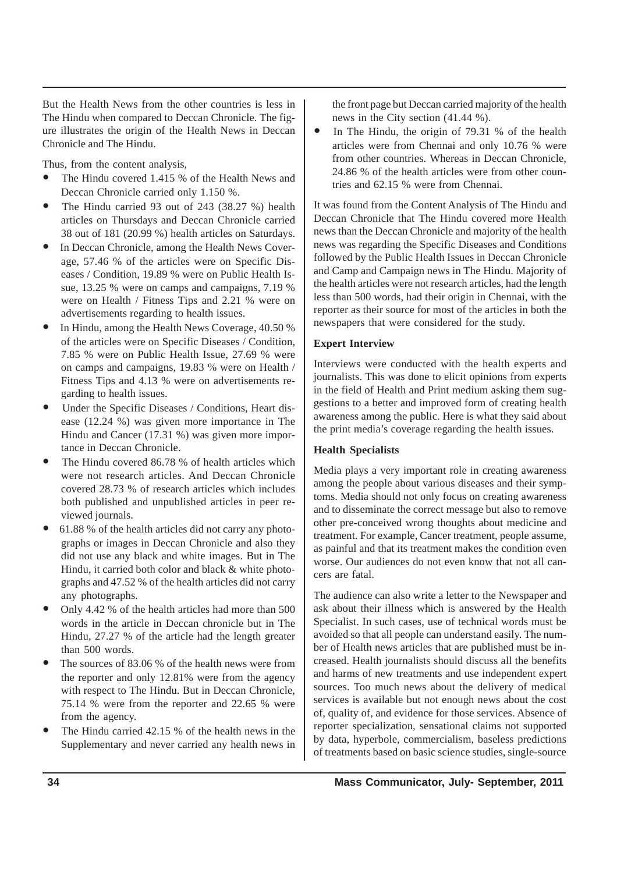But the Health News from the other countries is less in The Hindu when compared to Deccan Chronicle. The figure illustrates the origin of the Health News in Deccan Chronicle and The Hindu.

Thus, from the content analysis,

- The Hindu covered 1.415 % of the Health News and Deccan Chronicle carried only 1.150 %.
- The Hindu carried 93 out of 243  $(38.27 \%)$  health articles on Thursdays and Deccan Chronicle carried 38 out of 181 (20.99 %) health articles on Saturdays.
- In Deccan Chronicle, among the Health News Coverage, 57.46 % of the articles were on Specific Diseases / Condition, 19.89 % were on Public Health Issue, 13.25 % were on camps and campaigns, 7.19 % were on Health / Fitness Tips and 2.21 % were on advertisements regarding to health issues.
- In Hindu, among the Health News Coverage, 40.50 % of the articles were on Specific Diseases / Condition, 7.85 % were on Public Health Issue, 27.69 % were on camps and campaigns, 19.83 % were on Health / Fitness Tips and 4.13 % were on advertisements regarding to health issues.
- Under the Specific Diseases / Conditions, Heart disease (12.24 %) was given more importance in The Hindu and Cancer (17.31 %) was given more importance in Deccan Chronicle.
- The Hindu covered 86.78 % of health articles which were not research articles. And Deccan Chronicle covered 28.73 % of research articles which includes both published and unpublished articles in peer reviewed journals.
- 61.88 % of the health articles did not carry any photographs or images in Deccan Chronicle and also they did not use any black and white images. But in The Hindu, it carried both color and black & white photographs and 47.52 % of the health articles did not carry any photographs.
- y Only 4.42 % of the health articles had more than 500 words in the article in Deccan chronicle but in The Hindu, 27.27 % of the article had the length greater than 500 words.
- The sources of 83.06 % of the health news were from the reporter and only 12.81% were from the agency with respect to The Hindu. But in Deccan Chronicle, 75.14 % were from the reporter and 22.65 % were from the agency.
- The Hindu carried 42.15 % of the health news in the Supplementary and never carried any health news in

the front page but Deccan carried majority of the health news in the City section (41.44 %).

• In The Hindu, the origin of  $79.31%$  of the health articles were from Chennai and only 10.76 % were from other countries. Whereas in Deccan Chronicle, 24.86 % of the health articles were from other countries and 62.15 % were from Chennai.

It was found from the Content Analysis of The Hindu and Deccan Chronicle that The Hindu covered more Health news than the Deccan Chronicle and majority of the health news was regarding the Specific Diseases and Conditions followed by the Public Health Issues in Deccan Chronicle and Camp and Campaign news in The Hindu. Majority of the health articles were not research articles, had the length less than 500 words, had their origin in Chennai, with the reporter as their source for most of the articles in both the newspapers that were considered for the study.

## **Expert Interview**

Interviews were conducted with the health experts and journalists. This was done to elicit opinions from experts in the field of Health and Print medium asking them suggestions to a better and improved form of creating health awareness among the public. Here is what they said about the print media's coverage regarding the health issues.

## **Health Specialists**

Media plays a very important role in creating awareness among the people about various diseases and their symptoms. Media should not only focus on creating awareness and to disseminate the correct message but also to remove other pre-conceived wrong thoughts about medicine and treatment. For example, Cancer treatment, people assume, as painful and that its treatment makes the condition even worse. Our audiences do not even know that not all cancers are fatal.

The audience can also write a letter to the Newspaper and ask about their illness which is answered by the Health Specialist. In such cases, use of technical words must be avoided so that all people can understand easily. The number of Health news articles that are published must be increased. Health journalists should discuss all the benefits and harms of new treatments and use independent expert sources. Too much news about the delivery of medical services is available but not enough news about the cost of, quality of, and evidence for those services. Absence of reporter specialization, sensational claims not supported by data, hyperbole, commercialism, baseless predictions of treatments based on basic science studies, single-source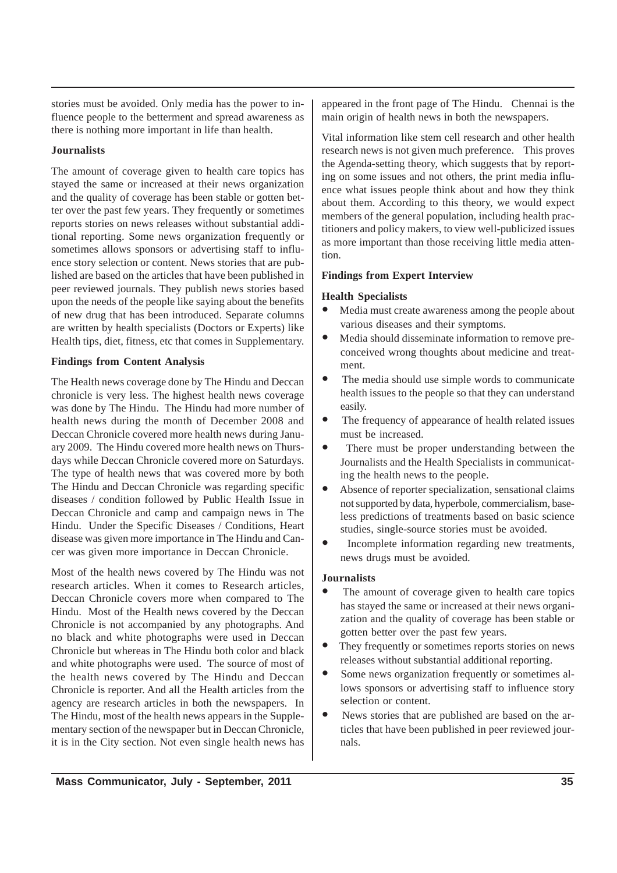stories must be avoided. Only media has the power to influence people to the betterment and spread awareness as there is nothing more important in life than health.

## **Journalists**

The amount of coverage given to health care topics has stayed the same or increased at their news organization and the quality of coverage has been stable or gotten better over the past few years. They frequently or sometimes reports stories on news releases without substantial additional reporting. Some news organization frequently or sometimes allows sponsors or advertising staff to influence story selection or content. News stories that are published are based on the articles that have been published in peer reviewed journals. They publish news stories based upon the needs of the people like saying about the benefits of new drug that has been introduced. Separate columns are written by health specialists (Doctors or Experts) like Health tips, diet, fitness, etc that comes in Supplementary.

## **Findings from Content Analysis**

The Health news coverage done by The Hindu and Deccan chronicle is very less. The highest health news coverage was done by The Hindu. The Hindu had more number of health news during the month of December 2008 and Deccan Chronicle covered more health news during January 2009. The Hindu covered more health news on Thursdays while Deccan Chronicle covered more on Saturdays. The type of health news that was covered more by both The Hindu and Deccan Chronicle was regarding specific diseases / condition followed by Public Health Issue in Deccan Chronicle and camp and campaign news in The Hindu. Under the Specific Diseases / Conditions, Heart disease was given more importance in The Hindu and Cancer was given more importance in Deccan Chronicle.

Most of the health news covered by The Hindu was not research articles. When it comes to Research articles, Deccan Chronicle covers more when compared to The Hindu. Most of the Health news covered by the Deccan Chronicle is not accompanied by any photographs. And no black and white photographs were used in Deccan Chronicle but whereas in The Hindu both color and black and white photographs were used. The source of most of the health news covered by The Hindu and Deccan Chronicle is reporter. And all the Health articles from the agency are research articles in both the newspapers. In The Hindu, most of the health news appears in the Supplementary section of the newspaper but in Deccan Chronicle, it is in the City section. Not even single health news has

appeared in the front page of The Hindu. Chennai is the main origin of health news in both the newspapers.

Vital information like stem cell research and other health research news is not given much preference. This proves the Agenda-setting theory, which suggests that by reporting on some issues and not others, the print media influence what issues people think about and how they think about them. According to this theory, we would expect members of the general population, including health practitioners and policy makers, to view well-publicized issues as more important than those receiving little media attention.

## **Findings from Expert Interview**

## **Health Specialists**

- Media must create awareness among the people about various diseases and their symptoms.
- $\bullet$  Media should disseminate information to remove preconceived wrong thoughts about medicine and treatment.
- The media should use simple words to communicate health issues to the people so that they can understand easily.
- The frequency of appearance of health related issues must be increased.
- There must be proper understanding between the Journalists and the Health Specialists in communicating the health news to the people.
- Absence of reporter specialization, sensational claims not supported by data, hyperbole, commercialism, baseless predictions of treatments based on basic science studies, single-source stories must be avoided.
- Incomplete information regarding new treatments, news drugs must be avoided.

## **Journalists**

- The amount of coverage given to health care topics has stayed the same or increased at their news organization and the quality of coverage has been stable or gotten better over the past few years.
- They frequently or sometimes reports stories on news releases without substantial additional reporting.
- Some news organization frequently or sometimes allows sponsors or advertising staff to influence story selection or content.
- News stories that are published are based on the articles that have been published in peer reviewed journals.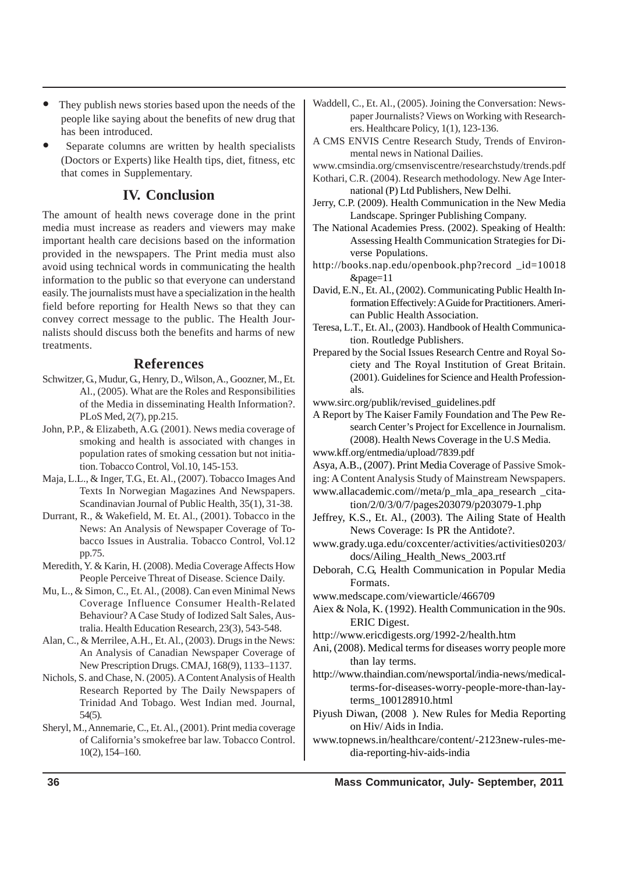- They publish news stories based upon the needs of the people like saying about the benefits of new drug that has been introduced.
- Separate columns are written by health specialists (Doctors or Experts) like Health tips, diet, fitness, etc that comes in Supplementary.

## **IV. Conclusion**

The amount of health news coverage done in the print media must increase as readers and viewers may make important health care decisions based on the information provided in the newspapers. The Print media must also avoid using technical words in communicating the health information to the public so that everyone can understand easily. The journalists must have a specialization in the health field before reporting for Health News so that they can convey correct message to the public. The Health Journalists should discuss both the benefits and harms of new treatments.

## **References**

- Schwitzer, G., Mudur, G., Henry, D., Wilson, A., Goozner, M., Et. Al., (2005). What are the Roles and Responsibilities of the Media in disseminating Health Information?. PLoS Med, 2(7), pp.215.
- John, P.P., & Elizabeth, A.G. (2001). News media coverage of smoking and health is associated with changes in population rates of smoking cessation but not initiation. Tobacco Control, Vol.10, 145-153.
- Maja, L.L., & Inger, T.G., Et. Al., (2007). Tobacco Images And Texts In Norwegian Magazines And Newspapers. Scandinavian Journal of Public Health, 35(1), 31-38.
- Durrant, R., & Wakefield, M. Et. Al., (2001). Tobacco in the News: An Analysis of Newspaper Coverage of Tobacco Issues in Australia. Tobacco Control, Vol.12 pp.75.
- Meredith, Y. & Karin, H. (2008). Media Coverage Affects How People Perceive Threat of Disease. Science Daily.
- Mu, L., & Simon, C., Et. Al., (2008). Can even Minimal News Coverage Influence Consumer Health-Related Behaviour? A Case Study of Iodized Salt Sales, Australia. Health Education Research, 23(3), 543-548.
- Alan, C., & Merrilee, A.H., Et. Al., (2003). Drugs in the News: An Analysis of Canadian Newspaper Coverage of New Prescription Drugs. CMAJ, 168(9), 1133–1137.
- Nichols, S. and Chase, N. (2005). A Content Analysis of Health Research Reported by The Daily Newspapers of Trinidad And Tobago. West Indian med. Journal, 54(5).
- Sheryl, M., Annemarie, C., Et. Al., (2001). Print media coverage of California's smokefree bar law. Tobacco Control. 10(2), 154–160.
- Waddell, C., Et. Al., (2005). Joining the Conversation: Newspaper Journalists? Views on Working with Researchers. Healthcare Policy, 1(1), 123-136.
- A CMS ENVIS Centre Research Study, Trends of Environmental news in National Dailies.
- www.cmsindia.org/cmsenviscentre/researchstudy/trends.pdf
- Kothari, C.R. (2004). Research methodology. New Age International (P) Ltd Publishers, New Delhi.
- Jerry, C.P. (2009). Health Communication in the New Media Landscape. Springer Publishing Company.
- The National Academies Press. (2002). Speaking of Health: Assessing Health Communication Strategies for Diverse Populations.
- http://books.nap.edu/openbook.php?record \_id=10018 &page=11
- David, E.N., Et. Al., (2002). Communicating Public Health Information Effectively: A Guide for Practitioners. American Public Health Association.
- Teresa, L.T., Et. Al., (2003). Handbook of Health Communication. Routledge Publishers.
- Prepared by the Social Issues Research Centre and Royal Society and The Royal Institution of Great Britain. (2001). Guidelines for Science and Health Professionals.
- www.sirc.org/publik/revised\_guidelines.pdf
- A Report by The Kaiser Family Foundation and The Pew Research Center's Project for Excellence in Journalism. (2008). Health News Coverage in the U.S Media.
- www.kff.org/entmedia/upload/7839.pdf
- Asya, A.B., (2007). Print Media Coverage of Passive Smok-
- ing: A Content Analysis Study of Mainstream Newspapers.
- www.allacademic.com//meta/p\_mla\_apa\_research \_citation/2/0/3/0/7/pages203079/p203079-1.php
- Jeffrey, K.S., Et. Al., (2003). The Ailing State of Health News Coverage: Is PR the Antidote?.
- www.grady.uga.edu/coxcenter/activities/activities0203/ docs/Ailing\_Health\_News\_2003.rtf
- Deborah, C.G, Health Communication in Popular Media Formats.
- www.medscape.com/viewarticle/466709
- Aiex & Nola, K. (1992). Health Communication in the 90s. ERIC Digest.
- http://www.ericdigests.org/1992-2/health.htm
- Ani, (2008). Medical terms for diseases worry people more than lay terms.
- http://www.thaindian.com/newsportal/india-news/medicalterms-for-diseases-worry-people-more-than-layterms\_100128910.html
- Piyush Diwan, (2008 ). New Rules for Media Reporting on Hiv/ Aids in India.
- www.topnews.in/healthcare/content/-2123new-rules-media-reporting-hiv-aids-india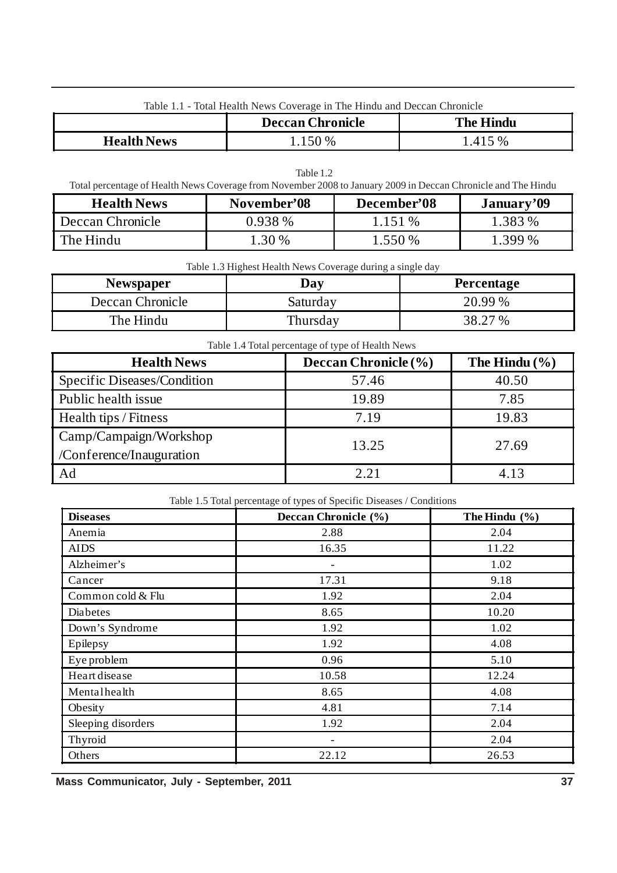|  | Table 1.1 - Total Health News Coverage in The Hindu and Deccan Chronicle |  |  |
|--|--------------------------------------------------------------------------|--|--|
|  |                                                                          |  |  |

|                    | <b>Deccan Chronicle</b> | <b>The Hindu</b> |
|--------------------|-------------------------|------------------|
| <b>Health News</b> | 150 %                   | .415 %           |

| Table 1.2          |                                                                                                               |             |            |  |
|--------------------|---------------------------------------------------------------------------------------------------------------|-------------|------------|--|
|                    | Total percentage of Health News Coverage from November 2008 to January 2009 in Deccan Chronicle and The Hindu |             |            |  |
| <b>Health News</b> | November'08                                                                                                   | December'08 | January'09 |  |
| Deccan Chronicle   | $0.938\%$                                                                                                     | 1.151 %     | 1.383 %    |  |
| l The Hindu        | 1.30 %                                                                                                        | $1.550\%$   | 1.399 %    |  |

Table 1.3 Highest Health News Coverage during a single day

| <b>Newspaper</b> | Dav      | Percentage |
|------------------|----------|------------|
| Deccan Chronicle | Saturday | 20.99 %    |
| The Hindu        | Thursday | 38.27 %    |

| Table 1.4 Total percentage of type of Health News |                      |                   |  |  |
|---------------------------------------------------|----------------------|-------------------|--|--|
| <b>Health News</b>                                | Deccan Chronicle (%) | The Hindu $(\% )$ |  |  |
| Specific Diseases/Condition                       | 57.46                | 40.50             |  |  |
| Public health issue                               | 19.89                | 7.85              |  |  |
| Health tips / Fitness                             | 7.19                 | 19.83             |  |  |
| Camp/Campaign/Workshop                            | 13.25                | 27.69             |  |  |
| /Conference/Inauguration                          |                      |                   |  |  |
| Ad                                                | 2.21                 | 4.13              |  |  |

| <b>Diseases</b>    | Deccan Chronicle (%)     | The Hindu $(\% )$ |
|--------------------|--------------------------|-------------------|
| Anemia             | 2.88                     | 2.04              |
| <b>AIDS</b>        | 16.35                    | 11.22             |
| Alzheimer's        |                          | 1.02              |
| Cancer             | 17.31                    | 9.18              |
| Common cold & Flu  | 1.92                     | 2.04              |
| Diabetes           | 8.65                     | 10.20             |
| Down's Syndrome    | 1.92                     | 1.02              |
| Epilepsy           | 1.92                     | 4.08              |
| Eye problem        | 0.96                     | 5.10              |
| Heart disease      | 10.58                    | 12.24             |
| Mentalhealth       | 8.65                     | 4.08              |
| Obesity            | 4.81                     | 7.14              |
| Sleeping disorders | 1.92                     | 2.04              |
| Thyroid            | $\overline{\phantom{a}}$ | 2.04              |
| Others             | 22.12                    | 26.53             |

**Mass Communicator, July - September, 2011** 37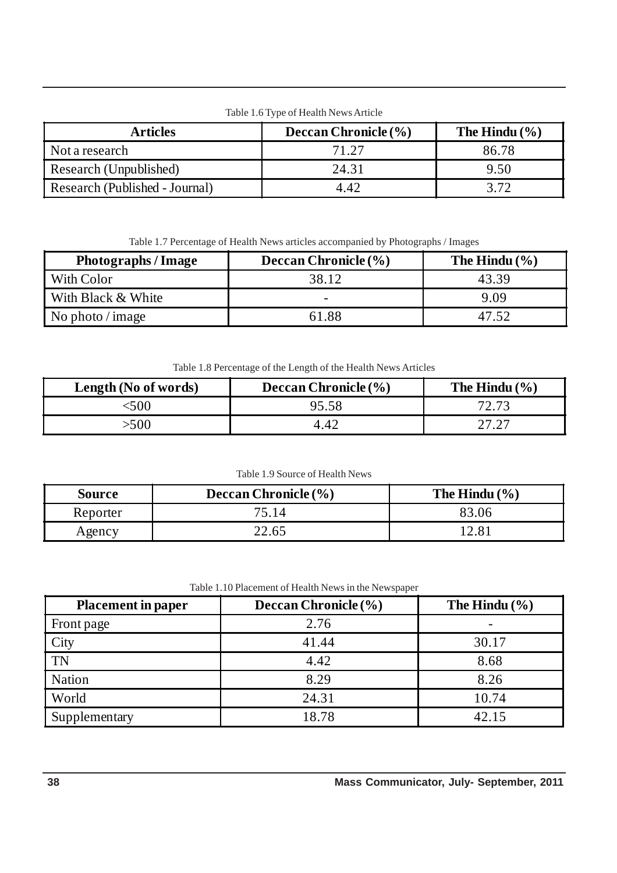Table 1.6 Type of Health News Article

| <b>Articles</b>                | <b>Deccan Chronicle</b> $(\% )$ | The Hindu $(\% )$ |
|--------------------------------|---------------------------------|-------------------|
| Not a research                 | 71.27                           | 86.78             |
| Research (Unpublished)         | 24.31                           | 9.50              |
| Research (Published - Journal) | 4.42                            | 372               |

Table 1.7 Percentage of Health News articles accompanied by Photographs / Images

| <b>Photographs / Image</b> | Deccan Chronicle (%)     | The Hindu $(\% )$ |
|----------------------------|--------------------------|-------------------|
| With Color                 | 38.12                    | 43.39             |
| With Black & White         | $\overline{\phantom{0}}$ | 9.09              |
| No photo $\sin 2\theta$    | 61.88                    |                   |

Table 1.8 Percentage of the Length of the Health News Articles

| Length (No of words) | <b>Deccan Chronicle</b> $(\%)$ | The Hindu $(\% )$ |
|----------------------|--------------------------------|-------------------|
| 500                  | 95.58                          | 72.73             |
| -500                 | 4.42                           |                   |

Table 1.9 Source of Health News

| <b>Source</b> | Deccan Chronicle (%) | The Hindu $(\% )$ |
|---------------|----------------------|-------------------|
| Reporter      | 75.14                |                   |
| Agency        | 22.65                |                   |

| <b>Placement in paper</b> | Deccan Chronicle (%) | The Hindu $(\% )$ |
|---------------------------|----------------------|-------------------|
| Front page                | 2.76                 |                   |
| City                      | 41.44                | 30.17             |
| <b>TN</b>                 | 4.42                 | 8.68              |
| <b>Nation</b>             | 8.29                 | 8.26              |
| World                     | 24.31                | 10.74             |
| Supplementary             | 18.78                | 42.15             |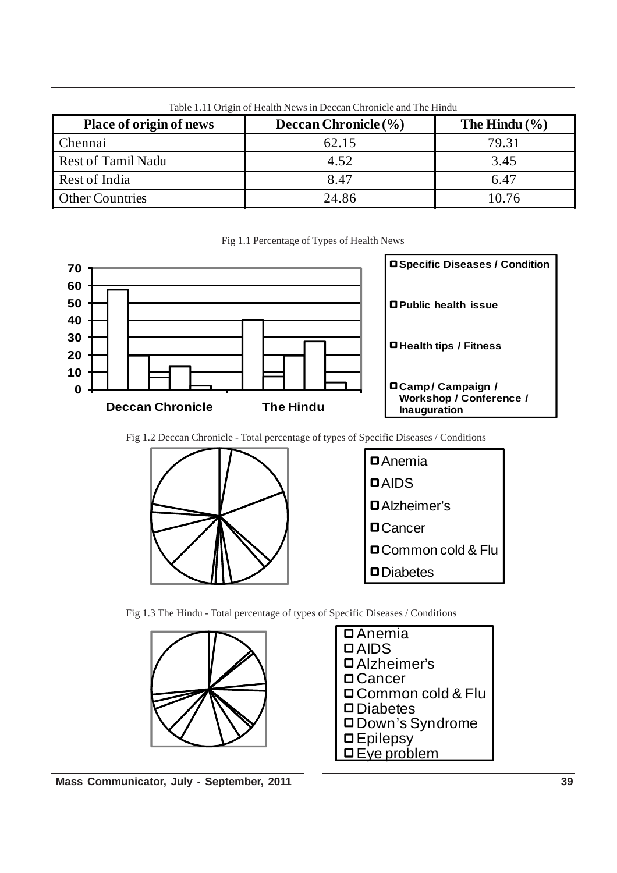| Place of origin of news   | Deccan Chronicle (%) | The Hindu $(\% )$ |
|---------------------------|----------------------|-------------------|
| Chennai                   | 62.15                | 79.31             |
| <b>Rest of Tamil Nadu</b> | 4.52                 | 3.45              |
| Rest of India             | 8.47                 | 6.47              |
| <b>Other Countries</b>    | 24.86                | 10.76             |

Table 1.11 Origin of Health News in Deccan Chronicle and The Hindu

Fig 1.1 Percentage of Types of Health News



Fig 1.2 Deccan Chronicle - Total percentage of types of Specific Diseases / Conditions



Fig 1.3 The Hindu - Total percentage of types of Specific Diseases / Conditions